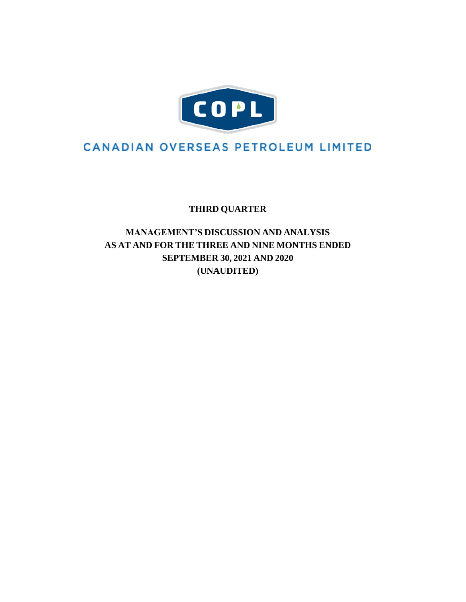

# **CANADIAN OVERSEAS PETROLEUM LIMITED**

**THIRD QUARTER**

**MANAGEMENT'S DISCUSSION AND ANALYSIS AS AT AND FOR THE THREE AND NINE MONTHS ENDED SEPTEMBER 30, 2021 AND 2020 (UNAUDITED)**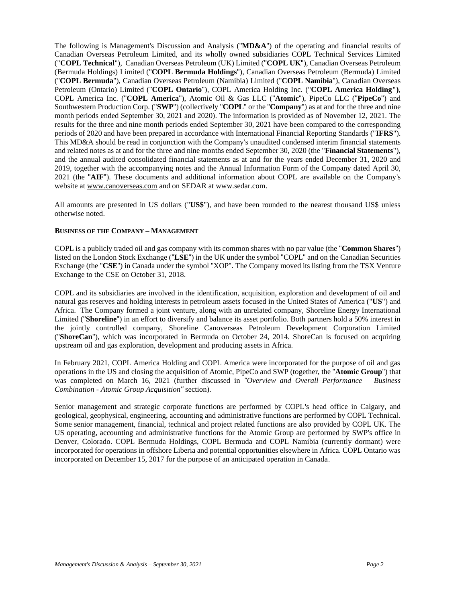The following is Management's Discussion and Analysis ("**MD&A**") of the operating and financial results of Canadian Overseas Petroleum Limited, and its wholly owned subsidiaries COPL Technical Services Limited ("**COPL Technical**"), Canadian Overseas Petroleum (UK) Limited ("**COPL UK**"), Canadian Overseas Petroleum (Bermuda Holdings) Limited ("**COPL Bermuda Holdings**"), Canadian Overseas Petroleum (Bermuda) Limited ("**COPL Bermuda**"), Canadian Overseas Petroleum (Namibia) Limited ("**COPL Namibia**"), Canadian Overseas Petroleum (Ontario) Limited ("**COPL Ontario**"), COPL America Holding Inc. ("**COPL America Holding")**, COPL America Inc. ("**COPL America**"), Atomic Oil & Gas LLC ("**Atomic**"), PipeCo LLC ("**PipeCo**") and Southwestern Production Corp. ("**SWP**") (collectively "**COPL**" or the "**Company**") as at and for the three and nine month periods ended September 30, 2021 and 2020). The information is provided as of November 12, 2021. The results for the three and nine month periods ended September 30, 2021 have been compared to the corresponding periods of 2020 and have been prepared in accordance with International Financial Reporting Standards ("**IFRS**"). This MD&A should be read in conjunction with the Company's unaudited condensed interim financial statements and related notes as at and for the three and nine months ended September 30, 2020 (the "**Financial Statements**"), and the annual audited consolidated financial statements as at and for the years ended December 31, 2020 and 2019, together with the accompanying notes and the Annual Information Form of the Company dated April 30, 2021 (the "**AIF**"). These documents and additional information about COPL are available on the Company's website at [www.canoverseas.com](http://www.canoverseas.com/) and on SEDAR a[t www.sedar.com.](http://www.sedar.com/)

All amounts are presented in US dollars ("**US\$**"), and have been rounded to the nearest thousand US\$ unless otherwise noted.

## **BUSINESS OF THE COMPANY – MANAGEMENT**

COPL is a publicly traded oil and gas company with its common shares with no par value (the "**Common Shares**") listed on the London Stock Exchange ("**LSE**") in the UK under the symbol "COPL" and on the Canadian Securities Exchange (the "**CSE**") in Canada under the symbol "XOP". The Company moved its listing from the TSX Venture Exchange to the CSE on October 31, 2018.

COPL and its subsidiaries are involved in the identification, acquisition, exploration and development of oil and natural gas reserves and holding interests in petroleum assets focused in the United States of America ("**US**") and Africa. The Company formed a joint venture, along with an unrelated company, Shoreline Energy International Limited ("**Shoreline**") in an effort to diversify and balance its asset portfolio. Both partners hold a 50% interest in the jointly controlled company, Shoreline Canoverseas Petroleum Development Corporation Limited ("**ShoreCan**"), which was incorporated in Bermuda on October 24, 2014. ShoreCan is focused on acquiring upstream oil and gas exploration, development and producing assets in Africa.

In February 2021, COPL America Holding and COPL America were incorporated for the purpose of oil and gas operations in the US and closing the acquisition of Atomic, PipeCo and SWP (together, the "**Atomic Group**") that was completed on March 16, 2021 (further discussed in *"Overview and Overall Performance – Business Combination - Atomic Group Acquisition"* section).

Senior management and strategic corporate functions are performed by COPL's head office in Calgary, and geological, geophysical, engineering, accounting and administrative functions are performed by COPL Technical. Some senior management, financial, technical and project related functions are also provided by COPL UK. The US operating, accounting and administrative functions for the Atomic Group are performed by SWP's office in Denver, Colorado. COPL Bermuda Holdings, COPL Bermuda and COPL Namibia (currently dormant) were incorporated for operations in offshore Liberia and potential opportunities elsewhere in Africa. COPL Ontario was incorporated on December 15, 2017 for the purpose of an anticipated operation in Canada.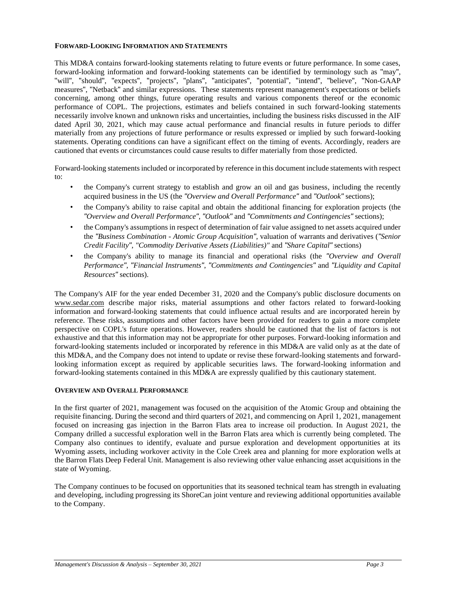## **FORWARD-LOOKING INFORMATION AND STATEMENTS**

This MD&A contains forward-looking statements relating to future events or future performance. In some cases, forward-looking information and forward-looking statements can be identified by terminology such as "may", "will", "should", "expects", "projects", "plans", "anticipates", "potential", "intend", "believe", "Non-GAAP measures", "Netback" and similar expressions. These statements represent management's expectations or beliefs concerning, among other things, future operating results and various components thereof or the economic performance of COPL. The projections, estimates and beliefs contained in such forward-looking statements necessarily involve known and unknown risks and uncertainties, including the business risks discussed in the AIF dated April 30, 2021, which may cause actual performance and financial results in future periods to differ materially from any projections of future performance or results expressed or implied by such forward-looking statements. Operating conditions can have a significant effect on the timing of events. Accordingly, readers are cautioned that events or circumstances could cause results to differ materially from those predicted.

Forward-looking statements included or incorporated by reference in this document include statements with respect to:

- the Company's current strategy to establish and grow an oil and gas business, including the recently acquired business in the US (the *"Overview and Overall Performance"* and *"Outlook"* sections);
- the Company's ability to raise capital and obtain the additional financing for exploration projects (the *"Overview and Overall Performance"*, *"Outlook"* and *"Commitments and Contingencies"* sections);
- the Company's assumptions in respect of determination of fair value assigned to net assets acquired under the *"Business Combination - Atomic Group Acquisition"*, valuation of warrants and derivatives (*"Senior Credit Facility"*, *"Commodity Derivative Assets (Liabilities)"* and *"Share Capital"* sections)
- the Company's ability to manage its financial and operational risks (the *"Overview and Overall Performance"*, *"Financial Instruments"*, *"Commitments and Contingencies"* and *"Liquidity and Capital Resources"* sections).

The Company's AIF for the year ended December 31, 2020 and the Company's public disclosure documents on [www.sedar.com](http://www.sedar.com/) describe major risks, material assumptions and other factors related to forward-looking information and forward-looking statements that could influence actual results and are incorporated herein by reference. These risks, assumptions and other factors have been provided for readers to gain a more complete perspective on COPL's future operations. However, readers should be cautioned that the list of factors is not exhaustive and that this information may not be appropriate for other purposes. Forward-looking information and forward-looking statements included or incorporated by reference in this MD&A are valid only as at the date of this MD&A, and the Company does not intend to update or revise these forward-looking statements and forwardlooking information except as required by applicable securities laws. The forward-looking information and forward-looking statements contained in this MD&A are expressly qualified by this cautionary statement.

# **OVERVIEW AND OVERALL PERFORMANCE**

In the first quarter of 2021, management was focused on the acquisition of the Atomic Group and obtaining the requisite financing. During the second and third quarters of 2021, and commencing on April 1, 2021, management focused on increasing gas injection in the Barron Flats area to increase oil production. In August 2021, the Company drilled a successful exploration well in the Barron Flats area which is currently being completed. The Company also continues to identify, evaluate and pursue exploration and development opportunities at its Wyoming assets, including workover activity in the Cole Creek area and planning for more exploration wells at the Barron Flats Deep Federal Unit. Management is also reviewing other value enhancing asset acquisitions in the state of Wyoming.

The Company continues to be focused on opportunities that its seasoned technical team has strength in evaluating and developing, including progressing its ShoreCan joint venture and reviewing additional opportunities available to the Company.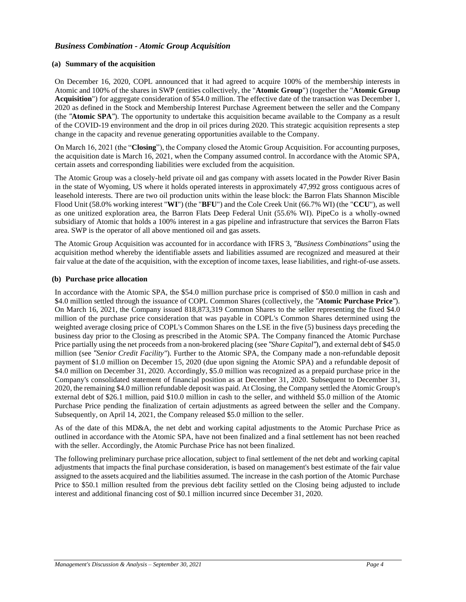# *Business Combination - Atomic Group Acquisition*

## **(a) Summary of the acquisition**

On December 16, 2020, COPL announced that it had agreed to acquire 100% of the membership interests in Atomic and 100% of the shares in SWP (entities collectively, the "**Atomic Group**") (together the "**Atomic Group Acquisition**") for aggregate consideration of \$54.0 million. The effective date of the transaction was December 1, 2020 as defined in the Stock and Membership Interest Purchase Agreement between the seller and the Company (the *"***Atomic SPA***"*). The opportunity to undertake this acquisition became available to the Company as a result of the COVID-19 environment and the drop in oil prices during 2020. This strategic acquisition represents a step change in the capacity and revenue generating opportunities available to the Company.

On March 16, 2021 (the "**Closing**"), the Company closed the Atomic Group Acquisition. For accounting purposes, the acquisition date is March 16, 2021, when the Company assumed control. In accordance with the Atomic SPA, certain assets and corresponding liabilities were excluded from the acquisition.

The Atomic Group was a closely-held private oil and gas company with assets located in the Powder River Basin in the state of Wyoming, US where it holds operated interests in approximately 47,992 gross contiguous acres of leasehold interests. There are two oil production units within the lease block: the Barron Flats Shannon Miscible Flood Unit (58.0% working interest "**WI**") (the "**BFU**") and the Cole Creek Unit (66.7% WI) (the "**CCU**"), as well as one unitized exploration area, the Barron Flats Deep Federal Unit (55.6% WI). PipeCo is a wholly-owned subsidiary of Atomic that holds a 100% interest in a gas pipeline and infrastructure that services the Barron Flats area. SWP is the operator of all above mentioned oil and gas assets.

The Atomic Group Acquisition was accounted for in accordance with IFRS 3, *"Business Combinations"* using the acquisition method whereby the identifiable assets and liabilities assumed are recognized and measured at their fair value at the date of the acquisition, with the exception of income taxes, lease liabilities, and right-of-use assets.

#### **(b) Purchase price allocation**

In accordance with the Atomic SPA, the \$54.0 million purchase price is comprised of \$50.0 million in cash and \$4.0 million settled through the issuance of COPL Common Shares (collectively, the *"***Atomic Purchase Price***"*). On March 16, 2021, the Company issued 818,873,319 Common Shares to the seller representing the fixed \$4.0 million of the purchase price consideration that was payable in COPL's Common Shares determined using the weighted average closing price of COPL's Common Shares on the LSE in the five (5) business days preceding the business day prior to the Closing as prescribed in the Atomic SPA. The Company financed the Atomic Purchase Price partially using the net proceeds from a non-brokered placing (see *"Share Capital"*), and external debt of \$45.0 million (see *"Senior Credit Facility"*). Further to the Atomic SPA, the Company made a non-refundable deposit payment of \$1.0 million on December 15, 2020 (due upon signing the Atomic SPA) and a refundable deposit of \$4.0 million on December 31, 2020. Accordingly, \$5.0 million was recognized as a prepaid purchase price in the Company's consolidated statement of financial position as at December 31, 2020. Subsequent to December 31, 2020, the remaining \$4.0 million refundable deposit was paid. At Closing, the Company settled the Atomic Group's external debt of \$26.1 million, paid \$10.0 million in cash to the seller, and withheld \$5.0 million of the Atomic Purchase Price pending the finalization of certain adjustments as agreed between the seller and the Company. Subsequently, on April 14, 2021, the Company released \$5.0 million to the seller.

As of the date of this MD&A, the net debt and working capital adjustments to the Atomic Purchase Price as outlined in accordance with the Atomic SPA, have not been finalized and a final settlement has not been reached with the seller. Accordingly, the Atomic Purchase Price has not been finalized.

The following preliminary purchase price allocation, subject to final settlement of the net debt and working capital adjustments that impacts the final purchase consideration, is based on management's best estimate of the fair value assigned to the assets acquired and the liabilities assumed. The increase in the cash portion of the Atomic Purchase Price to \$50.1 million resulted from the previous debt facility settled on the Closing being adjusted to include interest and additional financing cost of \$0.1 million incurred since December 31, 2020.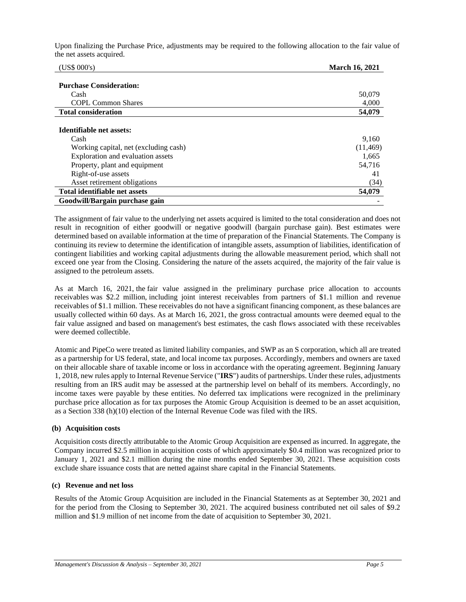Upon finalizing the Purchase Price, adjustments may be required to the following allocation to the fair value of the net assets acquired.

| (US\$ 000's)                          | <b>March 16, 2021</b> |
|---------------------------------------|-----------------------|
|                                       |                       |
| <b>Purchase Consideration:</b>        |                       |
| Cash                                  | 50,079                |
| <b>COPL Common Shares</b>             | 4,000                 |
| <b>Total consideration</b>            | 54,079                |
|                                       |                       |
| Identifiable net assets:              |                       |
| Cash                                  | 9,160                 |
| Working capital, net (excluding cash) | (11, 469)             |
| Exploration and evaluation assets     | 1,665                 |
| Property, plant and equipment         | 54,716                |
| Right-of-use assets                   | 41                    |
| Asset retirement obligations          | (34)                  |
| Total identifiable net assets         | 54,079                |
| Goodwill/Bargain purchase gain        |                       |

The assignment of fair value to the underlying net assets acquired is limited to the total consideration and does not result in recognition of either goodwill or negative goodwill (bargain purchase gain). Best estimates were determined based on available information at the time of preparation of the Financial Statements. The Company is continuing its review to determine the identification of intangible assets, assumption of liabilities, identification of contingent liabilities and working capital adjustments during the allowable measurement period, which shall not exceed one year from the Closing. Considering the nature of the assets acquired, the majority of the fair value is assigned to the petroleum assets.

As at March 16, 2021, the fair value assigned in the preliminary purchase price allocation to accounts receivables was \$2.2 million, including joint interest receivables from partners of \$1.1 million and revenue receivables of \$1.1 million. These receivables do not have a significant financing component, as these balances are usually collected within 60 days. As at March 16, 2021, the gross contractual amounts were deemed equal to the fair value assigned and based on management's best estimates, the cash flows associated with these receivables were deemed collectible.

Atomic and PipeCo were treated as limited liability companies, and SWP as an S corporation, which all are treated as a partnership for US federal, state, and local income tax purposes. Accordingly, members and owners are taxed on their allocable share of taxable income or loss in accordance with the operating agreement. Beginning January 1, 2018, new rules apply to Internal Revenue Service ("**IRS**") audits of partnerships. Under these rules, adjustments resulting from an IRS audit may be assessed at the partnership level on behalf of its members. Accordingly, no income taxes were payable by these entities. No deferred tax implications were recognized in the preliminary purchase price allocation as for tax purposes the Atomic Group Acquisition is deemed to be an asset acquisition, as a Section 338 (h)(10) election of the Internal Revenue Code was filed with the IRS.

# **(b) Acquisition costs**

Acquisition costs directly attributable to the Atomic Group Acquisition are expensed as incurred. In aggregate, the Company incurred \$2.5 million in acquisition costs of which approximately \$0.4 million was recognized prior to January 1, 2021 and \$2.1 million during the nine months ended September 30, 2021. These acquisition costs exclude share issuance costs that are netted against share capital in the Financial Statements.

#### **(c) Revenue and net loss**

Results of the Atomic Group Acquisition are included in the Financial Statements as at September 30, 2021 and for the period from the Closing to September 30, 2021. The acquired business contributed net oil sales of \$9.2 million and \$1.9 million of net income from the date of acquisition to September 30, 2021.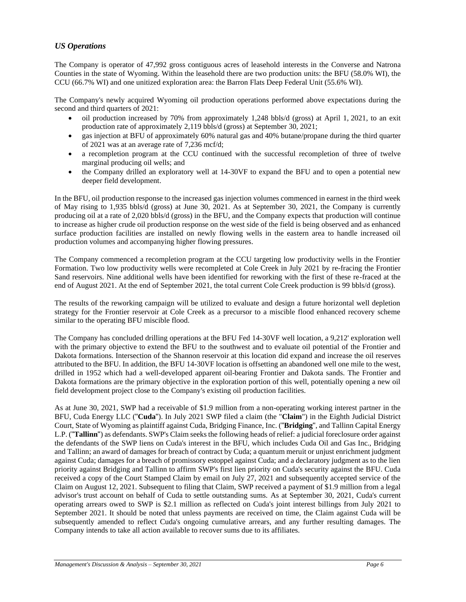# *US Operations*

The Company is operator of 47,992 gross contiguous acres of leasehold interests in the Converse and Natrona Counties in the state of Wyoming. Within the leasehold there are two production units: the BFU (58.0% WI), the CCU (66.7% WI) and one unitized exploration area: the Barron Flats Deep Federal Unit (55.6% WI).

The Company's newly acquired Wyoming oil production operations performed above expectations during the second and third quarters of 2021:

- oil production increased by 70% from approximately 1,248 bbls/d (gross) at April 1, 2021, to an exit production rate of approximately 2,119 bbls/d (gross) at September 30, 2021;
- gas injection at BFU of approximately 60% natural gas and 40% butane/propane during the third quarter of 2021 was at an average rate of 7,236 mcf/d;
- a recompletion program at the CCU continued with the successful recompletion of three of twelve marginal producing oil wells; and
- the Company drilled an exploratory well at 14-30VF to expand the BFU and to open a potential new deeper field development.

In the BFU, oil production response to the increased gas injection volumes commenced in earnest in the third week of May rising to 1,935 bbls/d (gross) at June 30, 2021. As at September 30, 2021, the Company is currently producing oil at a rate of 2,020 bbls/d (gross) in the BFU, and the Company expects that production will continue to increase as higher crude oil production response on the west side of the field is being observed and as enhanced surface production facilities are installed on newly flowing wells in the eastern area to handle increased oil production volumes and accompanying higher flowing pressures.

The Company commenced a recompletion program at the CCU targeting low productivity wells in the Frontier Formation. Two low productivity wells were recompleted at Cole Creek in July 2021 by re-fracing the Frontier Sand reservoirs. Nine additional wells have been identified for reworking with the first of these re-fraced at the end of August 2021. At the end of September 2021, the total current Cole Creek production is 99 bbls/d (gross).

The results of the reworking campaign will be utilized to evaluate and design a future horizontal well depletion strategy for the Frontier reservoir at Cole Creek as a precursor to a miscible flood enhanced recovery scheme similar to the operating BFU miscible flood.

The Company has concluded drilling operations at the BFU Fed 14-30VF well location, a 9,212' exploration well with the primary objective to extend the BFU to the southwest and to evaluate oil potential of the Frontier and Dakota formations. Intersection of the Shannon reservoir at this location did expand and increase the oil reserves attributed to the BFU. In addition, the BFU 14-30VF location is offsetting an abandoned well one mile to the west, drilled in 1952 which had a well-developed apparent oil-bearing Frontier and Dakota sands. The Frontier and Dakota formations are the primary objective in the exploration portion of this well, potentially opening a new oil field development project close to the Company's existing oil production facilities.

As at June 30, 2021, SWP had a receivable of \$1.9 million from a non-operating working interest partner in the BFU, Cuda Energy LLC ("**Cuda**"). In July 2021 SWP filed a claim (the "**Claim**") in the Eighth Judicial District Court, State of Wyoming as plaintiff against Cuda, Bridging Finance, Inc. ("**Bridging**", and Tallinn Capital Energy L.P. ("**Tallinn**") as defendants. SWP's Claim seeks the following heads of relief: a judicial foreclosure order against the defendants of the SWP liens on Cuda's interest in the BFU, which includes Cuda Oil and Gas Inc., Bridging and Tallinn; an award of damages for breach of contract by Cuda; a quantum meruit or unjust enrichment judgment against Cuda; damages for a breach of promissory estoppel against Cuda; and a declaratory judgment as to the lien priority against Bridging and Tallinn to affirm SWP's first lien priority on Cuda's security against the BFU. Cuda received a copy of the Court Stamped Claim by email on July 27, 2021 and subsequently accepted service of the Claim on August 12, 2021. Subsequent to filing that Claim, SWP received a payment of \$1.9 million from a legal advisor's trust account on behalf of Cuda to settle outstanding sums. As at September 30, 2021, Cuda's current operating arrears owed to SWP is \$2.1 million as reflected on Cuda's joint interest billings from July 2021 to September 2021. It should be noted that unless payments are received on time, the Claim against Cuda will be subsequently amended to reflect Cuda's ongoing cumulative arrears, and any further resulting damages. The Company intends to take all action available to recover sums due to its affiliates.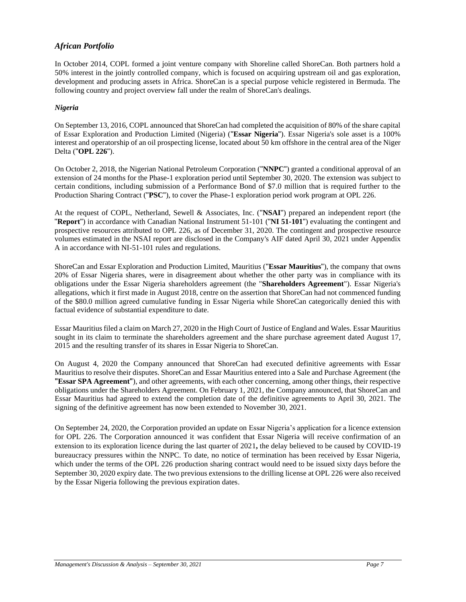# *African Portfolio*

In October 2014, COPL formed a joint venture company with Shoreline called ShoreCan. Both partners hold a 50% interest in the jointly controlled company, which is focused on acquiring upstream oil and gas exploration, development and producing assets in Africa. ShoreCan is a special purpose vehicle registered in Bermuda. The following country and project overview fall under the realm of ShoreCan's dealings.

# *Nigeria*

On September 13, 2016, COPL announced that ShoreCan had completed the acquisition of 80% of the share capital of Essar Exploration and Production Limited (Nigeria) ("**Essar Nigeria**"). Essar Nigeria's sole asset is a 100% interest and operatorship of an oil prospecting license, located about 50 km offshore in the central area of the Niger Delta ("**OPL 226**").

On October 2, 2018, the Nigerian National Petroleum Corporation ("**NNPC**") granted a conditional approval of an extension of 24 months for the Phase-1 exploration period until September 30, 2020. The extension was subject to certain conditions, including submission of a Performance Bond of \$7.0 million that is required further to the Production Sharing Contract ("**PSC**"), to cover the Phase-1 exploration period work program at OPL 226.

At the request of COPL, Netherland, Sewell & Associates, Inc. ("**NSAI**") prepared an independent report (the "**Report**") in accordance with Canadian National Instrument 51-101 ("**NI 51-101**") evaluating the contingent and prospective resources attributed to OPL 226, as of December 31, 2020. The contingent and prospective resource volumes estimated in the NSAI report are disclosed in the Company's AIF dated April 30, 2021 under Appendix A in accordance with NI-51-101 rules and regulations.

ShoreCan and Essar Exploration and Production Limited, Mauritius ("**Essar Mauritius**"), the company that owns 20% of Essar Nigeria shares, were in disagreement about whether the other party was in compliance with its obligations under the Essar Nigeria shareholders agreement (the "**Shareholders Agreement**"). Essar Nigeria's allegations, which it first made in August 2018, centre on the assertion that ShoreCan had not commenced funding of the \$80.0 million agreed cumulative funding in Essar Nigeria while ShoreCan categorically denied this with factual evidence of substantial expenditure to date.

Essar Mauritius filed a claim on March 27, 2020 in the High Court of Justice of England and Wales. Essar Mauritius sought in its claim to terminate the shareholders agreement and the share purchase agreement dated August 17, 2015 and the resulting transfer of its shares in Essar Nigeria to ShoreCan.

On August 4, 2020 the Company announced that ShoreCan had executed definitive agreements with Essar Mauritius to resolve their disputes. ShoreCan and Essar Mauritius entered into a Sale and Purchase Agreement (the **"Essar SPA Agreement"**), and other agreements, with each other concerning, among other things, their respective obligations under the Shareholders Agreement. On February 1, 2021, the Company announced, that ShoreCan and Essar Mauritius had agreed to extend the completion date of the definitive agreements to April 30, 2021. The signing of the definitive agreement has now been extended to November 30, 2021.

On September 24, 2020, the Corporation provided an update on Essar Nigeria's application for a licence extension for OPL 226. The Corporation announced it was confident that Essar Nigeria will receive confirmation of an extension to its exploration licence during the last quarter of 2021**,** the delay believed to be caused by COVID-19 bureaucracy pressures within the NNPC. To date, no notice of termination has been received by Essar Nigeria, which under the terms of the OPL 226 production sharing contract would need to be issued sixty days before the September 30, 2020 expiry date. The two previous extensions to the drilling license at OPL 226 were also received by the Essar Nigeria following the previous expiration dates.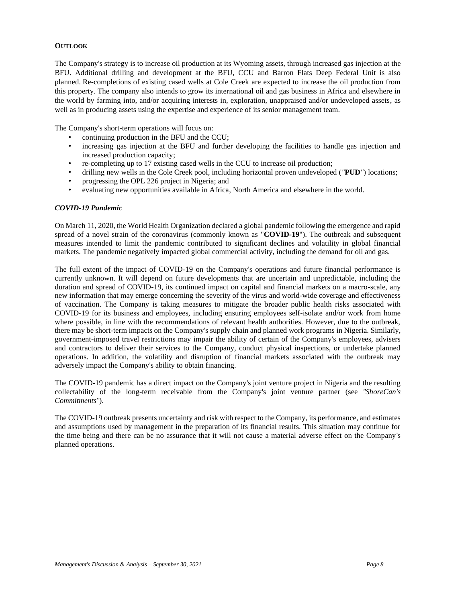## **OUTLOOK**

The Company's strategy is to increase oil production at its Wyoming assets, through increased gas injection at the BFU. Additional drilling and development at the BFU, CCU and Barron Flats Deep Federal Unit is also planned. Re-completions of existing cased wells at Cole Creek are expected to increase the oil production from this property. The company also intends to grow its international oil and gas business in Africa and elsewhere in the world by farming into, and/or acquiring interests in, exploration, unappraised and/or undeveloped assets, as well as in producing assets using the expertise and experience of its senior management team.

The Company's short-term operations will focus on:

- continuing production in the BFU and the CCU;
- increasing gas injection at the BFU and further developing the facilities to handle gas injection and increased production capacity;
- re-completing up to 17 existing cased wells in the CCU to increase oil production;
- drilling new wells in the Cole Creek pool, including horizontal proven undeveloped (*"***PUD***"*) locations;
- progressing the OPL 226 project in Nigeria; and
- evaluating new opportunities available in Africa, North America and elsewhere in the world.

#### *COVID-19 Pandemic*

On March 11, 2020, the World Health Organization declared a global pandemic following the emergence and rapid spread of a novel strain of the coronavirus (commonly known as "**COVID-19**"). The outbreak and subsequent measures intended to limit the pandemic contributed to significant declines and volatility in global financial markets. The pandemic negatively impacted global commercial activity, including the demand for oil and gas.

The full extent of the impact of COVID-19 on the Company's operations and future financial performance is currently unknown. It will depend on future developments that are uncertain and unpredictable, including the duration and spread of COVID-19, its continued impact on capital and financial markets on a macro-scale, any new information that may emerge concerning the severity of the virus and world-wide coverage and effectiveness of vaccination. The Company is taking measures to mitigate the broader public health risks associated with COVID-19 for its business and employees, including ensuring employees self-isolate and/or work from home where possible, in line with the recommendations of relevant health authorities. However, due to the outbreak, there may be short-term impacts on the Company's supply chain and planned work programs in Nigeria. Similarly, government-imposed travel restrictions may impair the ability of certain of the Company's employees, advisers and contractors to deliver their services to the Company, conduct physical inspections, or undertake planned operations. In addition, the volatility and disruption of financial markets associated with the outbreak may adversely impact the Company's ability to obtain financing.

The COVID-19 pandemic has a direct impact on the Company's joint venture project in Nigeria and the resulting collectability of the long-term receivable from the Company's joint venture partner (see *"ShoreCan's Commitments"*).

The COVID-19 outbreak presents uncertainty and risk with respect to the Company, its performance, and estimates and assumptions used by management in the preparation of its financial results. This situation may continue for the time being and there can be no assurance that it will not cause a material adverse effect on the Company's planned operations.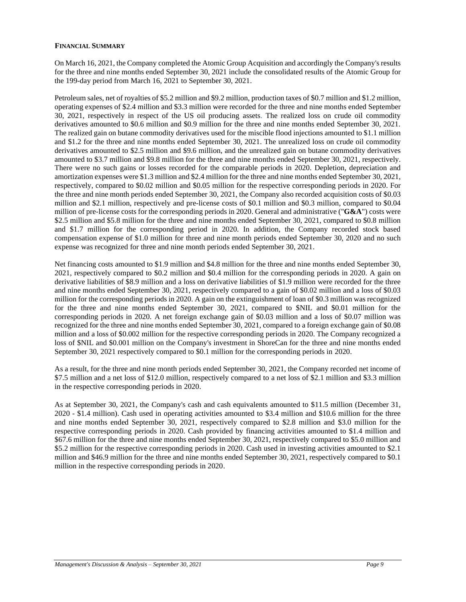## **FINANCIAL SUMMARY**

On March 16, 2021, the Company completed the Atomic Group Acquisition and accordingly the Company's results for the three and nine months ended September 30, 2021 include the consolidated results of the Atomic Group for the 199-day period from March 16, 2021 to September 30, 2021.

Petroleum sales, net of royalties of \$5.2 million and \$9.2 million, production taxes of \$0.7 million and \$1.2 million, operating expenses of \$2.4 million and \$3.3 million were recorded for the three and nine months ended September 30, 2021, respectively in respect of the US oil producing assets. The realized loss on crude oil commodity derivatives amounted to \$0.6 million and \$0.9 million for the three and nine months ended September 30, 2021. The realized gain on butane commodity derivatives used for the miscible flood injections amounted to \$1.1 million and \$1.2 for the three and nine months ended September 30, 2021. The unrealized loss on crude oil commodity derivatives amounted to \$2.5 million and \$9.6 million, and the unrealized gain on butane commodity derivatives amounted to \$3.7 million and \$9.8 million for the three and nine months ended September 30, 2021, respectively. There were no such gains or losses recorded for the comparable periods in 2020. Depletion, depreciation and amortization expenses were \$1.3 million and \$2.4 million for the three and nine months ended September 30, 2021, respectively, compared to \$0.02 million and \$0.05 million for the respective corresponding periods in 2020. For the three and nine month periods ended September 30, 2021, the Company also recorded acquisition costs of \$0.03 million and \$2.1 million, respectively and pre-license costs of \$0.1 million and \$0.3 million, compared to \$0.04 million of pre-license costs for the corresponding periods in 2020. General and administrative ("**G&A**") costs were \$2.5 million and \$5.8 million for the three and nine months ended September 30, 2021, compared to \$0.8 million and \$1.7 million for the corresponding period in 2020. In addition, the Company recorded stock based compensation expense of \$1.0 million for three and nine month periods ended September 30, 2020 and no such expense was recognized for three and nine month periods ended September 30, 2021.

Net financing costs amounted to \$1.9 million and \$4.8 million for the three and nine months ended September 30, 2021, respectively compared to \$0.2 million and \$0.4 million for the corresponding periods in 2020. A gain on derivative liabilities of \$8.9 million and a loss on derivative liabilities of \$1.9 million were recorded for the three and nine months ended September 30, 2021, respectively compared to a gain of \$0.02 million and a loss of \$0.03 million for the corresponding periods in 2020. A gain on the extinguishment of loan of \$0.3 million was recognized for the three and nine months ended September 30, 2021, compared to \$NIL and \$0.01 million for the corresponding periods in 2020. A net foreign exchange gain of \$0.03 million and a loss of \$0.07 million was recognized for the three and nine months ended September 30, 2021, compared to a foreign exchange gain of \$0.08 million and a loss of \$0.002 million for the respective corresponding periods in 2020. The Company recognized a loss of \$NIL and \$0.001 million on the Company's investment in ShoreCan for the three and nine months ended September 30, 2021 respectively compared to \$0.1 million for the corresponding periods in 2020.

As a result, for the three and nine month periods ended September 30, 2021, the Company recorded net income of \$7.5 million and a net loss of \$12.0 million, respectively compared to a net loss of \$2.1 million and \$3.3 million in the respective corresponding periods in 2020.

As at September 30, 2021, the Company's cash and cash equivalents amounted to \$11.5 million (December 31, 2020 - \$1.4 million). Cash used in operating activities amounted to \$3.4 million and \$10.6 million for the three and nine months ended September 30, 2021, respectively compared to \$2.8 million and \$3.0 million for the respective corresponding periods in 2020. Cash provided by financing activities amounted to \$1.4 million and \$67.6 million for the three and nine months ended September 30, 2021, respectively compared to \$5.0 million and \$5.2 million for the respective corresponding periods in 2020. Cash used in investing activities amounted to \$2.1 million and \$46.9 million for the three and nine months ended September 30, 2021, respectively compared to \$0.1 million in the respective corresponding periods in 2020.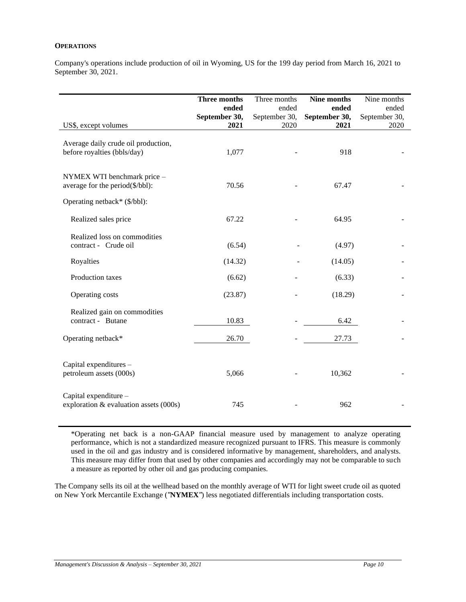## **OPERATIONS**

Company's operations include production of oil in Wyoming, US for the 199 day period from March 16, 2021 to September 30, 2021.

| US\$, except volumes                                               | Three months<br>ended<br>September 30,<br>2021 | Three months<br>ended<br>September 30,<br>2020 | Nine months<br>ended<br>September 30,<br>2021 | Nine months<br>ended<br>September 30,<br>2020 |
|--------------------------------------------------------------------|------------------------------------------------|------------------------------------------------|-----------------------------------------------|-----------------------------------------------|
| Average daily crude oil production,<br>before royalties (bbls/day) | 1,077                                          |                                                | 918                                           |                                               |
| NYMEX WTI benchmark price -<br>average for the period(\$/bbl):     | 70.56                                          |                                                | 67.47                                         |                                               |
| Operating netback* (\$/bbl):<br>Realized sales price               | 67.22                                          |                                                | 64.95                                         |                                               |
| Realized loss on commodities<br>contract - Crude oil               | (6.54)                                         |                                                | (4.97)                                        |                                               |
| Royalties                                                          | (14.32)                                        |                                                | (14.05)                                       |                                               |
| Production taxes                                                   | (6.62)                                         |                                                | (6.33)                                        |                                               |
| Operating costs                                                    | (23.87)                                        |                                                | (18.29)                                       |                                               |
| Realized gain on commodities<br>contract - Butane                  | 10.83                                          |                                                | 6.42                                          |                                               |
| Operating netback*                                                 | 26.70                                          |                                                | 27.73                                         |                                               |
| Capital expenditures -<br>petroleum assets (000s)                  | 5,066                                          |                                                | 10,362                                        |                                               |
| Capital expenditure -<br>exploration & evaluation assets (000s)    | 745                                            |                                                | 962                                           |                                               |

\*Operating net back is a non-GAAP financial measure used by management to analyze operating performance, which is not a standardized measure recognized pursuant to IFRS. This measure is commonly used in the oil and gas industry and is considered informative by management, shareholders, and analysts. This measure may differ from that used by other companies and accordingly may not be comparable to such a measure as reported by other oil and gas producing companies.

The Company sells its oil at the wellhead based on the monthly average of WTI for light sweet crude oil as quoted on New York Mercantile Exchange (*"***NYMEX***"*) less negotiated differentials including transportation costs.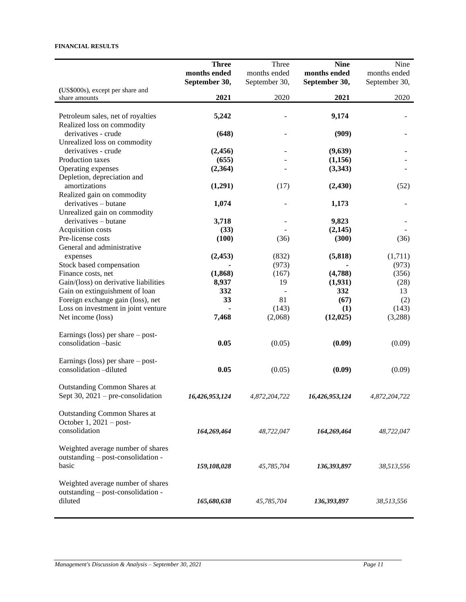#### **FINANCIAL RESULTS**

|                                       | <b>Three</b>   | Three         | <b>Nine</b>    | Nine          |
|---------------------------------------|----------------|---------------|----------------|---------------|
|                                       | months ended   | months ended  | months ended   | months ended  |
|                                       | September 30,  | September 30, | September 30,  | September 30, |
| (US\$000s), except per share and      |                |               |                |               |
| share amounts                         | 2021           | 2020          | 2021           | 2020          |
|                                       |                |               |                |               |
| Petroleum sales, net of royalties     | 5,242          |               | 9,174          |               |
| Realized loss on commodity            |                |               |                |               |
| derivatives - crude                   | (648)          |               | (909)          |               |
| Unrealized loss on commodity          |                |               |                |               |
| derivatives - crude                   | (2, 456)       |               | (9,639)        |               |
| Production taxes                      | (655)          |               | (1,156)        |               |
| Operating expenses                    | (2,364)        |               | (3,343)        |               |
| Depletion, depreciation and           |                |               |                |               |
| amortizations                         | (1,291)        | (17)          | (2, 430)       | (52)          |
| Realized gain on commodity            |                |               |                |               |
| derivatives - butane                  | 1,074          |               | 1,173          |               |
| Unrealized gain on commodity          |                |               |                |               |
| derivatives – butane                  | 3,718          |               | 9,823          |               |
| Acquisition costs                     | (33)           |               | (2,145)        |               |
| Pre-license costs                     | (100)          | (36)          | (300)          | (36)          |
| General and administrative            |                |               |                |               |
| expenses                              | (2, 453)       | (832)         | (5,818)        | (1,711)       |
| Stock based compensation              |                | (973)         |                | (973)         |
| Finance costs, net                    | (1, 868)       | (167)         | (4,788)        | (356)         |
| Gain/(loss) on derivative liabilities | 8,937          | 19            | (1,931)        | (28)          |
| Gain on extinguishment of loan        | 332            |               | 332            | 13            |
| Foreign exchange gain (loss), net     | 33             | 81            | (67)           | (2)           |
| Loss on investment in joint venture   |                | (143)         | (1)            | (143)         |
| Net income (loss)                     | 7,468          | (2,068)       | (12, 025)      | (3,288)       |
| Earnings (loss) per share $-$ post-   |                |               |                |               |
| consolidation -basic                  | 0.05           | (0.05)        | (0.09)         | (0.09)        |
|                                       |                |               |                |               |
| Earnings (loss) per share $-$ post-   |                |               |                |               |
| consolidation -diluted                | 0.05           | (0.05)        | (0.09)         | (0.09)        |
|                                       |                |               |                |               |
| <b>Outstanding Common Shares at</b>   |                |               |                |               |
| Sept 30, 2021 – pre-consolidation     | 16,426,953,124 | 4.872.204.722 | 16,426,953,124 | 4,872,204,722 |
|                                       |                |               |                |               |
| <b>Outstanding Common Shares at</b>   |                |               |                |               |
| October $1,2021 - post$               |                |               |                |               |
| consolidation                         | 164,269,464    | 48,722,047    | 164,269,464    | 48,722,047    |
|                                       |                |               |                |               |
| Weighted average number of shares     |                |               |                |               |
| outstanding – post-consolidation -    |                |               |                |               |
| basic                                 | 159,108,028    | 45,785,704    | 136,393,897    | 38,513,556    |
|                                       |                |               |                |               |
| Weighted average number of shares     |                |               |                |               |
| outstanding – post-consolidation -    |                |               |                |               |
| diluted                               | 165,680,638    | 45,785,704    | 136,393,897    | 38,513,556    |
|                                       |                |               |                |               |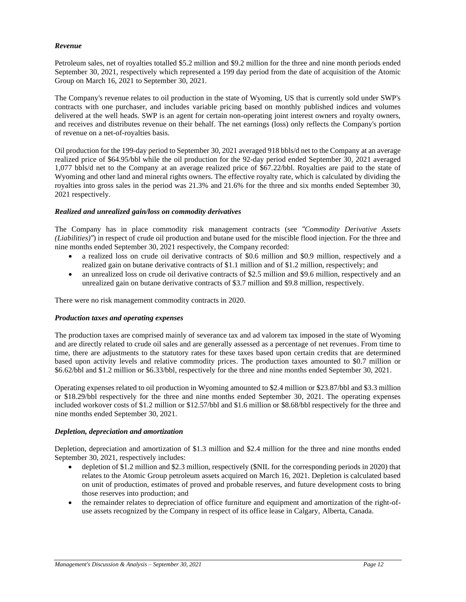## *Revenue*

Petroleum sales, net of royalties totalled \$5.2 million and \$9.2 million for the three and nine month periods ended September 30, 2021, respectively which represented a 199 day period from the date of acquisition of the Atomic Group on March 16, 2021 to September 30, 2021.

The Company's revenue relates to oil production in the state of Wyoming, US that is currently sold under SWP's contracts with one purchaser, and includes variable pricing based on monthly published indices and volumes delivered at the well heads. SWP is an agent for certain non-operating joint interest owners and royalty owners, and receives and distributes revenue on their behalf. The net earnings (loss) only reflects the Company's portion of revenue on a net-of-royalties basis.

Oil production for the 199-day period to September 30, 2021 averaged 918 bbls/d net to the Company at an average realized price of \$64.95/bbl while the oil production for the 92-day period ended September 30, 2021 averaged 1,077 bbls/d net to the Company at an average realized price of \$67.22/bbl. Royalties are paid to the state of Wyoming and other land and mineral rights owners. The effective royalty rate, which is calculated by dividing the royalties into gross sales in the period was 21.3% and 21.6% for the three and six months ended September 30, 2021 respectively.

## *Realized and unrealized gain/loss on commodity derivatives*

The Company has in place commodity risk management contracts (see *"Commodity Derivative Assets (Liabilities)"*) in respect of crude oil production and butane used for the miscible flood injection. For the three and nine months ended September 30, 2021 respectively, the Company recorded:

- a realized loss on crude oil derivative contracts of \$0.6 million and \$0.9 million, respectively and a realized gain on butane derivative contracts of \$1.1 million and of \$1.2 million, respectively; and
- an unrealized loss on crude oil derivative contracts of \$2.5 million and \$9.6 million, respectively and an unrealized gain on butane derivative contracts of \$3.7 million and \$9.8 million, respectively.

There were no risk management commodity contracts in 2020.

#### *Production taxes and operating expenses*

The production taxes are comprised mainly of severance tax and ad valorem tax imposed in the state of Wyoming and are directly related to crude oil sales and are generally assessed as a percentage of net revenues. From time to time, there are adjustments to the statutory rates for these taxes based upon certain credits that are determined based upon activity levels and relative commodity prices. The production taxes amounted to \$0.7 million or \$6.62/bbl and \$1.2 million or \$6.33/bbl, respectively for the three and nine months ended September 30, 2021.

Operating expenses related to oil production in Wyoming amounted to \$2.4 million or \$23.87/bbl and \$3.3 million or \$18.29/bbl respectively for the three and nine months ended September 30, 2021. The operating expenses included workover costs of \$1.2 million or \$12.57/bbl and \$1.6 million or \$8.68/bbl respectively for the three and nine months ended September 30, 2021.

#### *Depletion, depreciation and amortization*

Depletion, depreciation and amortization of \$1.3 million and \$2.4 million for the three and nine months ended September 30, 2021, respectively includes:

- depletion of \$1.2 million and \$2.3 million, respectively (\$NIL for the corresponding periods in 2020) that relates to the Atomic Group petroleum assets acquired on March 16, 2021. Depletion is calculated based on unit of production, estimates of proved and probable reserves, and future development costs to bring those reserves into production; and
- the remainder relates to depreciation of office furniture and equipment and amortization of the right-ofuse assets recognized by the Company in respect of its office lease in Calgary, Alberta, Canada.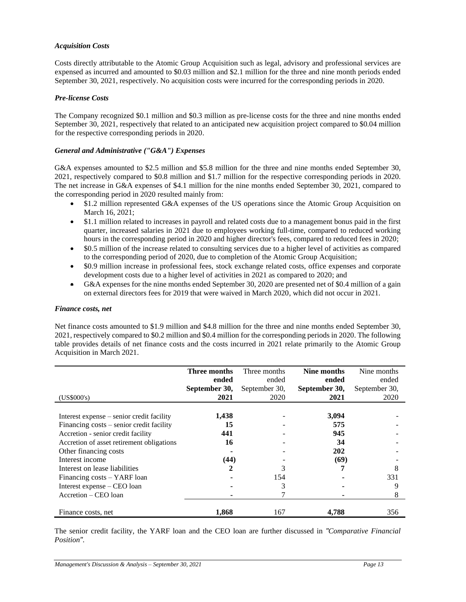# *Acquisition Costs*

Costs directly attributable to the Atomic Group Acquisition such as legal, advisory and professional services are expensed as incurred and amounted to \$0.03 million and \$2.1 million for the three and nine month periods ended September 30, 2021, respectively. No acquisition costs were incurred for the corresponding periods in 2020.

# *Pre-license Costs*

The Company recognized \$0.1 million and \$0.3 million as pre-license costs for the three and nine months ended September 30, 2021, respectively that related to an anticipated new acquisition project compared to \$0.04 million for the respective corresponding periods in 2020.

# *General and Administrative ("G&A") Expenses*

G&A expenses amounted to \$2.5 million and \$5.8 million for the three and nine months ended September 30, 2021, respectively compared to \$0.8 million and \$1.7 million for the respective corresponding periods in 2020. The net increase in G&A expenses of \$4.1 million for the nine months ended September 30, 2021, compared to the corresponding period in 2020 resulted mainly from:

- \$1.2 million represented G&A expenses of the US operations since the Atomic Group Acquisition on March 16, 2021;
- \$1.1 million related to increases in payroll and related costs due to a management bonus paid in the first quarter, increased salaries in 2021 due to employees working full-time, compared to reduced working hours in the corresponding period in 2020 and higher director's fees, compared to reduced fees in 2020;
- \$0.5 million of the increase related to consulting services due to a higher level of activities as compared to the corresponding period of 2020, due to completion of the Atomic Group Acquisition;
- \$0.9 million increase in professional fees, stock exchange related costs, office expenses and corporate development costs due to a higher level of activities in 2021 as compared to 2020; and
- G&A expenses for the nine months ended September 30, 2020 are presented net of \$0.4 million of a gain on external directors fees for 2019 that were waived in March 2020, which did not occur in 2021.

# *Finance costs, net*

Net finance costs amounted to \$1.9 million and \$4.8 million for the three and nine months ended September 30, 2021, respectively compared to \$0.2 million and \$0.4 million for the corresponding periods in 2020. The following table provides details of net finance costs and the costs incurred in 2021 relate primarily to the Atomic Group Acquisition in March 2021.

|                                           | Three months  | Three months  | Nine months   | Nine months   |
|-------------------------------------------|---------------|---------------|---------------|---------------|
|                                           | ended         | ended         | ended         | ended         |
|                                           | September 30, | September 30, | September 30, | September 30, |
| (US\$000's)                               | 2021          | 2020          | 2021          | 2020          |
|                                           |               |               |               |               |
| Interest expense – senior credit facility | 1,438         |               | 3,094         |               |
| Financing costs – senior credit facility  | 15            |               | 575           |               |
| Accretion - senior credit facility        | 441           |               | 945           |               |
| Accretion of asset retirement obligations | 16            |               | 34            |               |
| Other financing costs                     |               |               | 202           |               |
| Interest income                           | (44)          |               | (69)          |               |
| Interest on lease liabilities             |               | 3             |               | 8             |
| Financing costs – YARF loan               |               | 154           |               | 331           |
| Interest expense – CEO loan               |               | 3             |               | 9             |
| Accretion – CEO loan                      |               |               |               | 8             |
|                                           |               |               |               |               |
| Finance costs, net                        | 1.868         | 167           | 4.788         | 356           |

The senior credit facility, the YARF loan and the CEO loan are further discussed in *"Comparative Financial Position"*.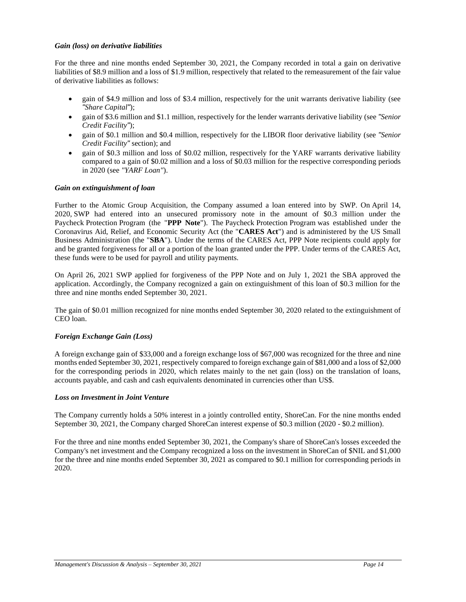## *Gain (loss) on derivative liabilities*

For the three and nine months ended September 30, 2021, the Company recorded in total a gain on derivative liabilities of \$8.9 million and a loss of \$1.9 million, respectively that related to the remeasurement of the fair value of derivative liabilities as follows:

- gain of \$4.9 million and loss of \$3.4 million, respectively for the unit warrants derivative liability (see *"Share Capital"*);
- gain of \$3.6 million and \$1.1 million, respectively for the lender warrants derivative liability (see *"Senior Credit Facility"*);
- gain of \$0.1 million and \$0.4 million, respectively for the LIBOR floor derivative liability (see *"Senior Credit Facility"* section); and
- gain of \$0.3 million and loss of \$0.02 million, respectively for the YARF warrants derivative liability compared to a gain of \$0.02 million and a loss of \$0.03 million for the respective corresponding periods in 2020 (see *"YARF Loan"*).

## *Gain on extinguishment of loan*

Further to the Atomic Group Acquisition, the Company assumed a loan entered into by SWP. On April 14, 2020, SWP had entered into an unsecured promissory note in the amount of \$0.3 million under the Paycheck Protection Program (the "**PPP Note**"). The Paycheck Protection Program was established under the Coronavirus Aid, Relief, and Economic Security Act (the "**CARES Act**") and is administered by the US Small Business Administration (the "**SBA**"). Under the terms of the CARES Act, PPP Note recipients could apply for and be granted forgiveness for all or a portion of the loan granted under the PPP. Under terms of the CARES Act, these funds were to be used for payroll and utility payments.

On April 26, 2021 SWP applied for forgiveness of the PPP Note and on July 1, 2021 the SBA approved the application. Accordingly, the Company recognized a gain on extinguishment of this loan of \$0.3 million for the three and nine months ended September 30, 2021.

The gain of \$0.01 million recognized for nine months ended September 30, 2020 related to the extinguishment of CEO loan.

# *Foreign Exchange Gain (Loss)*

A foreign exchange gain of \$33,000 and a foreign exchange loss of \$67,000 was recognized for the three and nine months ended September 30, 2021, respectively compared to foreign exchange gain of \$81,000 and a loss of \$2,000 for the corresponding periods in 2020, which relates mainly to the net gain (loss) on the translation of loans, accounts payable, and cash and cash equivalents denominated in currencies other than US\$.

#### *Loss on Investment in Joint Venture*

The Company currently holds a 50% interest in a jointly controlled entity, ShoreCan. For the nine months ended September 30, 2021, the Company charged ShoreCan interest expense of \$0.3 million (2020 - \$0.2 million).

For the three and nine months ended September 30, 2021, the Company's share of ShoreCan's losses exceeded the Company's net investment and the Company recognized a loss on the investment in ShoreCan of \$NIL and \$1,000 for the three and nine months ended September 30, 2021 as compared to \$0.1 million for corresponding periods in 2020.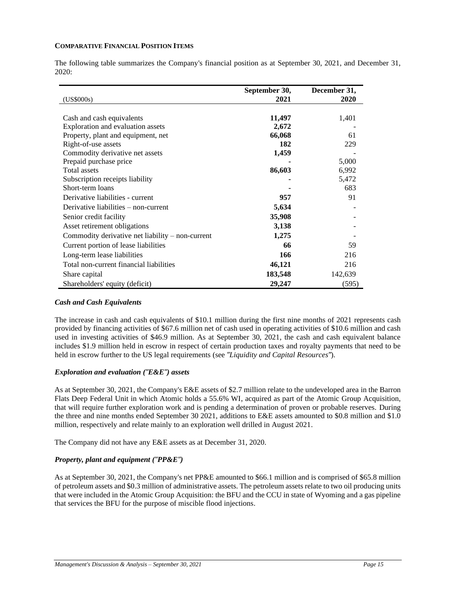#### **COMPARATIVE FINANCIAL POSITION ITEMS**

The following table summarizes the Company's financial position as at September 30, 2021, and December 31, 2020:

| (US\$000s)                                         | September 30,<br>2021 | December 31,<br>2020 |
|----------------------------------------------------|-----------------------|----------------------|
|                                                    |                       |                      |
| Cash and cash equivalents                          | 11,497                | 1,401                |
| Exploration and evaluation assets                  | 2,672                 |                      |
| Property, plant and equipment, net                 | 66,068                | 61                   |
| Right-of-use assets                                | 182                   | 229                  |
| Commodity derivative net assets                    | 1,459                 |                      |
| Prepaid purchase price                             |                       | 5,000                |
| Total assets                                       | 86,603                | 6,992                |
| Subscription receipts liability                    |                       | 5,472                |
| Short-term loans                                   |                       | 683                  |
| Derivative liabilities - current                   | 957                   | 91                   |
| Derivative liabilities $-$ non-current             | 5,634                 |                      |
| Senior credit facility                             | 35,908                |                      |
| Asset retirement obligations                       | 3,138                 |                      |
| Commodity derivative net liability $-$ non-current | 1,275                 |                      |
| Current portion of lease liabilities               | 66                    | 59                   |
| Long-term lease liabilities                        | 166                   | 216                  |
| Total non-current financial liabilities            | 46,121                | 216                  |
| Share capital                                      | 183,548               | 142,639              |
| Shareholders' equity (deficit)                     | 29,247                | (595)                |

#### *Cash and Cash Equivalents*

The increase in cash and cash equivalents of \$10.1 million during the first nine months of 2021 represents cash provided by financing activities of \$67.6 million net of cash used in operating activities of \$10.6 million and cash used in investing activities of \$46.9 million. As at September 30, 2021, the cash and cash equivalent balance includes \$1.9 million held in escrow in respect of certain production taxes and royalty payments that need to be held in escrow further to the US legal requirements (see *"Liquidity and Capital Resources"*).

# *Exploration and evaluation ("E&E") assets*

As at September 30, 2021, the Company's E&E assets of \$2.7 million relate to the undeveloped area in the Barron Flats Deep Federal Unit in which Atomic holds a 55.6% WI, acquired as part of the Atomic Group Acquisition, that will require further exploration work and is pending a determination of proven or probable reserves. During the three and nine months ended September 30 2021, additions to E&E assets amounted to \$0.8 million and \$1.0 million, respectively and relate mainly to an exploration well drilled in August 2021.

The Company did not have any E&E assets as at December 31, 2020.

# *Property, plant and equipment ("PP&E")*

As at September 30, 2021, the Company's net PP&E amounted to \$66.1 million and is comprised of \$65.8 million of petroleum assets and \$0.3 million of administrative assets. The petroleum assets relate to two oil producing units that were included in the Atomic Group Acquisition: the BFU and the CCU in state of Wyoming and a gas pipeline that services the BFU for the purpose of miscible flood injections.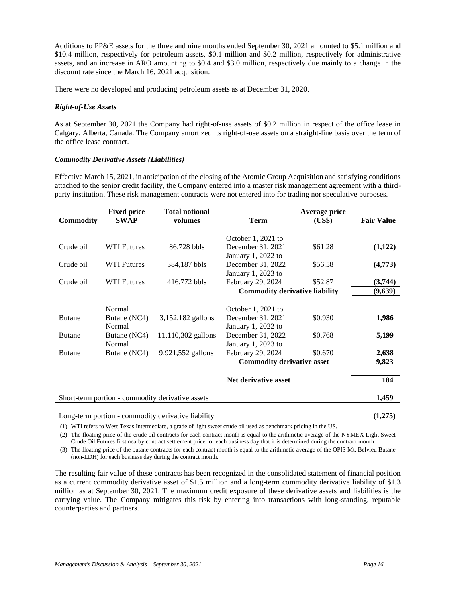Additions to PP&E assets for the three and nine months ended September 30, 2021 amounted to \$5.1 million and \$10.4 million, respectively for petroleum assets, \$0.1 million and \$0.2 million, respectively for administrative assets, and an increase in ARO amounting to \$0.4 and \$3.0 million, respectively due mainly to a change in the discount rate since the March 16, 2021 acquisition.

There were no developed and producing petroleum assets as at December 31, 2020.

## *Right-of-Use Assets*

As at September 30, 2021 the Company had right-of-use assets of \$0.2 million in respect of the office lease in Calgary, Alberta, Canada. The Company amortized its right-of-use assets on a straight-line basis over the term of the office lease contract.

## *Commodity Derivative Assets (Liabilities)*

Effective March 15, 2021, in anticipation of the closing of the Atomic Group Acquisition and satisfying conditions attached to the senior credit facility, the Company entered into a master risk management agreement with a thirdparty institution. These risk management contracts were not entered into for trading nor speculative purposes.

|                  | <b>Fixed price</b> | <b>Total notional</b>                              |                                       | Average price |                   |
|------------------|--------------------|----------------------------------------------------|---------------------------------------|---------------|-------------------|
| <b>Commodity</b> | <b>SWAP</b>        | volumes                                            | <b>Term</b>                           | (US\$)        | <b>Fair Value</b> |
|                  |                    |                                                    |                                       |               |                   |
|                  |                    |                                                    | October 1, 2021 to                    |               |                   |
| Crude oil        | <b>WTI Futures</b> | 86,728 bbls                                        | December 31, 2021                     | \$61.28       | (1,122)           |
|                  |                    |                                                    | January 1, 2022 to                    |               |                   |
| Crude oil        | <b>WTI Futures</b> | 384,187 bbls                                       | December 31, 2022                     | \$56.58       | (4,773)           |
|                  |                    |                                                    | January 1, 2023 to                    |               |                   |
| Crude oil        | <b>WTI Futures</b> | 416,772 bbls                                       | February 29, 2024                     | \$52.87       | (3,744)           |
|                  |                    |                                                    | <b>Commodity derivative liability</b> |               | (9,639)           |
|                  |                    |                                                    |                                       |               |                   |
|                  | Normal             |                                                    | October 1, 2021 to                    |               |                   |
| <b>Butane</b>    | Butane (NC4)       | 3,152,182 gallons                                  | December 31, 2021                     | \$0.930       | 1,986             |
|                  | Normal             |                                                    | January 1, 2022 to                    |               |                   |
| <b>Butane</b>    | Butane (NC4)       | 11,110,302 gallons                                 | December 31, 2022                     | \$0.768       | 5,199             |
|                  | Normal             |                                                    | January 1, 2023 to                    |               |                   |
| <b>Butane</b>    | Butane (NC4)       | 9,921,552 gallons                                  | February 29, 2024                     | \$0.670       | 2,638             |
|                  |                    |                                                    | <b>Commodity derivative asset</b>     |               | 9,823             |
|                  |                    |                                                    | Net derivative asset                  |               | 184               |
|                  |                    |                                                    |                                       |               |                   |
|                  |                    | Short-term portion - commodity derivative assets   |                                       |               | 1,459             |
|                  |                    | Long-term portion - commodity derivative liability |                                       |               | (1,275)           |

(1) WTI refers to West Texas Intermediate, a grade of light sweet crude oil used as benchmark pricing in the US.

(2) The floating price of the crude oil contracts for each contract month is equal to the arithmetic average of the NYMEX Light Sweet Crude Oil Futures first nearby contract settlement price for each business day that it is determined during the contract month.

(3) The floating price of the butane contracts for each contract month is equal to the arithmetic average of the OPIS Mt. Belvieu Butane (non-LDH) for each business day during the contract month.

The resulting fair value of these contracts has been recognized in the consolidated statement of financial position as a current commodity derivative asset of \$1.5 million and a long-term commodity derivative liability of \$1.3 million as at September 30, 2021. The maximum credit exposure of these derivative assets and liabilities is the carrying value. The Company mitigates this risk by entering into transactions with long-standing, reputable counterparties and partners.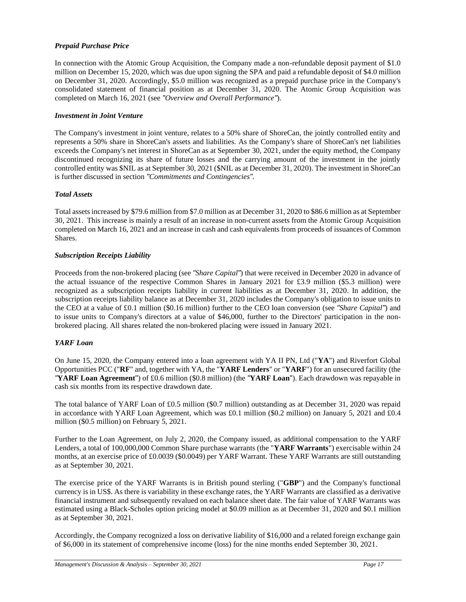# *Prepaid Purchase Price*

In connection with the Atomic Group Acquisition, the Company made a non-refundable deposit payment of \$1.0 million on December 15, 2020, which was due upon signing the SPA and paid a refundable deposit of \$4.0 million on December 31, 2020. Accordingly, \$5.0 million was recognized as a prepaid purchase price in the Company's consolidated statement of financial position as at December 31, 2020. The Atomic Group Acquisition was completed on March 16, 2021 (see *"Overview and Overall Performance"*).

# *Investment in Joint Venture*

The Company's investment in joint venture, relates to a 50% share of ShoreCan, the jointly controlled entity and represents a 50% share in ShoreCan's assets and liabilities. As the Company's share of ShoreCan's net liabilities exceeds the Company's net interest in ShoreCan as at September 30, 2021, under the equity method, the Company discontinued recognizing its share of future losses and the carrying amount of the investment in the jointly controlled entity was \$NIL as at September 30, 2021 (\$NIL as at December 31, 2020). The investment in ShoreCan is further discussed in section *"Commitments and Contingencies".*

# *Total Assets*

Total assets increased by \$79.6 million from \$7.0 million as at December 31, 2020 to \$86.6 million as at September 30, 2021. This increase is mainly a result of an increase in non-current assets from the Atomic Group Acquisition completed on March 16, 2021 and an increase in cash and cash equivalents from proceeds of issuances of Common Shares.

# *Subscription Receipts Liability*

Proceeds from the non-brokered placing (see *"Share Capital"*) that were received in December 2020 in advance of the actual issuance of the respective Common Shares in January 2021 for £3.9 million (\$5.3 million) were recognized as a subscription receipts liability in current liabilities as at December 31, 2020. In addition, the subscription receipts liability balance as at December 31, 2020 includes the Company's obligation to issue units to the CEO at a value of £0.1 million (\$0.16 million) further to the CEO loan conversion (see *"Share Capital"*) and to issue units to Company's directors at a value of \$46,000, further to the Directors' participation in the nonbrokered placing. All shares related the non-brokered placing were issued in January 2021.

# *YARF Loan*

On June 15, 2020, the Company entered into a loan agreement with YA II PN, Ltd ("**YA**") and Riverfort Global Opportunities PCC ("**RF**" and, together with YA, the "**YARF Lenders**" or "**YARF**") for an unsecured facility (the *"***YARF Loan Agreement**") of £0.6 million (\$0.8 million) (the *"***YARF Loan**"). Each drawdown was repayable in cash six months from its respective drawdown date.

The total balance of YARF Loan of £0.5 million (\$0.7 million) outstanding as at December 31, 2020 was repaid in accordance with YARF Loan Agreement, which was £0.1 million (\$0.2 million) on January 5, 2021 and £0.4 million (\$0.5 million) on February 5, 2021.

Further to the Loan Agreement, on July 2, 2020, the Company issued, as additional compensation to the YARF Lenders, a total of 100,000,000 Common Share purchase warrants (the "**YARF Warrants**") exercisable within 24 months, at an exercise price of £0.0039 (\$0.0049) per YARF Warrant. These YARF Warrants are still outstanding as at September 30, 2021.

The exercise price of the YARF Warrants is in British pound sterling ("**GBP**") and the Company's functional currency is in US\$. As there is variability in these exchange rates, the YARF Warrants are classified as a derivative financial instrument and subsequently revalued on each balance sheet date. The fair value of YARF Warrants was estimated using a Black-Scholes option pricing model at \$0.09 million as at December 31, 2020 and \$0.1 million as at September 30, 2021.

Accordingly, the Company recognized a loss on derivative liability of \$16,000 and a related foreign exchange gain of \$6,000 in its statement of comprehensive income (loss) for the nine months ended September 30, 2021.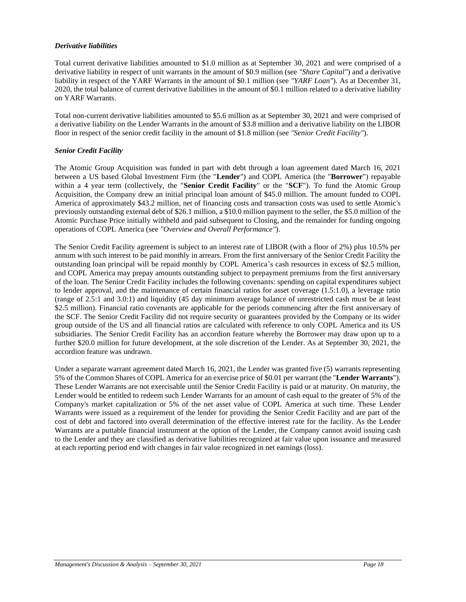## *Derivative liabilities*

Total current derivative liabilities amounted to \$1.0 million as at September 30, 2021 and were comprised of a derivative liability in respect of unit warrants in the amount of \$0.9 million (see *"Share Capital"*) and a derivative liability in respect of the YARF Warrants in the amount of \$0.1 million (see *"YARF Loan"*). As at December 31, 2020, the total balance of current derivative liabilities in the amount of \$0.1 million related to a derivative liability on YARF Warrants.

Total non-current derivative liabilities amounted to \$5.6 million as at September 30, 2021 and were comprised of a derivative liability on the Lender Warrants in the amount of \$3.8 million and a derivative liability on the LIBOR floor in respect of the senior credit facility in the amount of \$1.8 million (see *"Senior Credit Facility"*).

# *Senior Credit Facility*

The Atomic Group Acquisition was funded in part with debt through a loan agreement dated March 16, 2021 between a US based Global Investment Firm (the "**Lender**") and COPL America (the "**Borrower**") repayable within a 4 year term (collectively, the "**Senior Credit Facility**" or the "**SCF**"). To fund the Atomic Group Acquisition, the Company drew an initial principal loan amount of \$45.0 million. The amount funded to COPL America of approximately \$43.2 million, net of financing costs and transaction costs was used to settle Atomic's previously outstanding external debt of \$26.1 million, a \$10.0 million payment to the seller, the \$5.0 million of the Atomic Purchase Price initially withheld and paid subsequent to Closing, and the remainder for funding ongoing operations of COPL America (see *"Overview and Overall Performance"*).

The Senior Credit Facility agreement is subject to an interest rate of LIBOR (with a floor of 2%) plus 10.5% per annum with such interest to be paid monthly in arrears. From the first anniversary of the Senior Credit Facility the outstanding loan principal will be repaid monthly by COPL America's cash resources in excess of \$2.5 million, and COPL America may prepay amounts outstanding subject to prepayment premiums from the first anniversary of the loan. The Senior Credit Facility includes the following covenants: spending on capital expenditures subject to lender approval, and the maintenance of certain financial ratios for asset coverage (1.5:1.0), a leverage ratio (range of 2.5:1 and 3.0:1) and liquidity (45 day minimum average balance of unrestricted cash must be at least \$2.5 million). Financial ratio covenants are applicable for the periods commencing after the first anniversary of the SCF. The Senior Credit Facility did not require security or guarantees provided by the Company or its wider group outside of the US and all financial ratios are calculated with reference to only COPL America and its US subsidiaries. The Senior Credit Facility has an accordion feature whereby the Borrower may draw upon up to a further \$20.0 million for future development, at the sole discretion of the Lender. As at September 30, 2021, the accordion feature was undrawn.

Under a separate warrant agreement dated March 16, 2021, the Lender was granted five (5) warrants representing 5% of the Common Shares of COPL America for an exercise price of \$0.01 per warrant (the "**Lender Warrants**"). These Lender Warrants are not exercisable until the Senior Credit Facility is paid or at maturity. On maturity, the Lender would be entitled to redeem such Lender Warrants for an amount of cash equal to the greater of 5% of the Company's market capitalization or 5% of the net asset value of COPL America at such time. These Lender Warrants were issued as a requirement of the lender for providing the Senior Credit Facility and are part of the cost of debt and factored into overall determination of the effective interest rate for the facility. As the Lender Warrants are a puttable financial instrument at the option of the Lender, the Company cannot avoid issuing cash to the Lender and they are classified as derivative liabilities recognized at fair value upon issuance and measured at each reporting period end with changes in fair value recognized in net earnings (loss).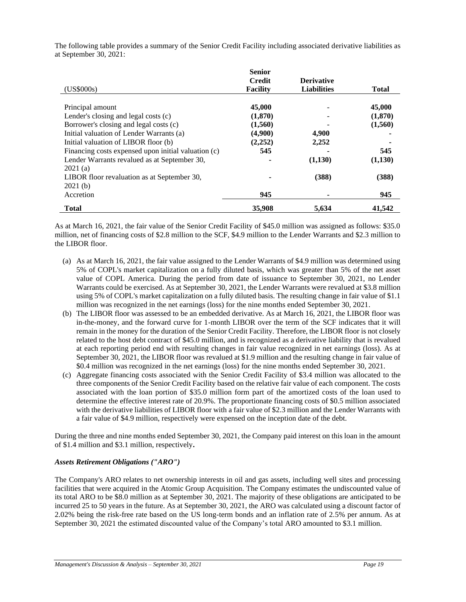|                                                     | <b>Senior</b>   |                    |              |
|-----------------------------------------------------|-----------------|--------------------|--------------|
|                                                     | <b>Credit</b>   | <b>Derivative</b>  |              |
| (US\$000s)                                          | <b>Facility</b> | <b>Liabilities</b> | <b>Total</b> |
|                                                     |                 |                    |              |
| Principal amount                                    | 45,000          |                    | 45,000       |
| Lender's closing and legal costs (c)                | (1,870)         |                    | (1,870)      |
| Borrower's closing and legal costs (c)              | (1,560)         |                    | (1,560)      |
| Initial valuation of Lender Warrants (a)            | (4,900)         | 4,900              |              |
| Initial valuation of LIBOR floor (b)                | (2,252)         | 2,252              |              |
| Financing costs expensed upon initial valuation (c) | 545             |                    | 545          |
| Lender Warrants revalued as at September 30,        |                 | (1,130)            | (1,130)      |
| 2021(a)                                             |                 |                    |              |
| LIBOR floor revaluation as at September 30,         |                 | (388)              | (388)        |
| 2021(b)                                             |                 |                    |              |
| Accretion                                           | 945             |                    | 945          |
| <b>Total</b>                                        | 35,908          | 5.634              | 41,542       |

The following table provides a summary of the Senior Credit Facility including associated derivative liabilities as at September 30, 2021:

As at March 16, 2021, the fair value of the Senior Credit Facility of \$45.0 million was assigned as follows: \$35.0 million, net of financing costs of \$2.8 million to the SCF, \$4.9 million to the Lender Warrants and \$2.3 million to the LIBOR floor.

- (a) As at March 16, 2021, the fair value assigned to the Lender Warrants of \$4.9 million was determined using 5% of COPL's market capitalization on a fully diluted basis, which was greater than 5% of the net asset value of COPL America. During the period from date of issuance to September 30, 2021, no Lender Warrants could be exercised. As at September 30, 2021, the Lender Warrants were revalued at \$3.8 million using 5% of COPL's market capitalization on a fully diluted basis. The resulting change in fair value of \$1.1 million was recognized in the net earnings (loss) for the nine months ended September 30, 2021.
- (b) The LIBOR floor was assessed to be an embedded derivative. As at March 16, 2021, the LIBOR floor was in-the-money, and the forward curve for 1-month LIBOR over the term of the SCF indicates that it will remain in the money for the duration of the Senior Credit Facility. Therefore, the LIBOR floor is not closely related to the host debt contract of \$45.0 million, and is recognized as a derivative liability that is revalued at each reporting period end with resulting changes in fair value recognized in net earnings (loss). As at September 30, 2021, the LIBOR floor was revalued at \$1.9 million and the resulting change in fair value of \$0.4 million was recognized in the net earnings (loss) for the nine months ended September 30, 2021.
- (c) Aggregate financing costs associated with the Senior Credit Facility of \$3.4 million was allocated to the three components of the Senior Credit Facility based on the relative fair value of each component. The costs associated with the loan portion of \$35.0 million form part of the amortized costs of the loan used to determine the effective interest rate of 20.9%. The proportionate financing costs of \$0.5 million associated with the derivative liabilities of LIBOR floor with a fair value of \$2.3 million and the Lender Warrants with a fair value of \$4.9 million, respectively were expensed on the inception date of the debt.

During the three and nine months ended September 30, 2021, the Company paid interest on this loan in the amount of \$1.4 million and \$3.1 million, respectively**.** 

# *Assets Retirement Obligations ("ARO")*

The Company's ARO relates to net ownership interests in oil and gas assets, including well sites and processing facilities that were acquired in the Atomic Group Acquisition. The Company estimates the undiscounted value of its total ARO to be \$8.0 million as at September 30, 2021. The majority of these obligations are anticipated to be incurred 25 to 50 years in the future. As at September 30, 2021, the ARO was calculated using a discount factor of 2.02% being the risk-free rate based on the US long-term bonds and an inflation rate of 2.5% per annum. As at September 30, 2021 the estimated discounted value of the Company's total ARO amounted to \$3.1 million.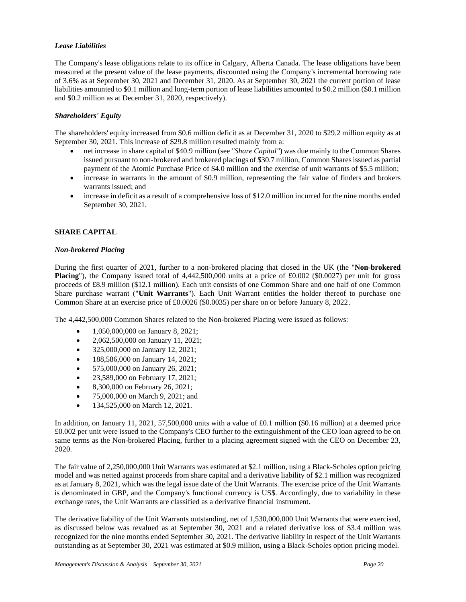# *Lease Liabilities*

The Company's lease obligations relate to its office in Calgary, Alberta Canada. The lease obligations have been measured at the present value of the lease payments, discounted using the Company's incremental borrowing rate of 3.6% as at September 30, 2021 and December 31, 2020. As at September 30, 2021 the current portion of lease liabilities amounted to \$0.1 million and long-term portion of lease liabilities amounted to \$0.2 million (\$0.1 million and \$0.2 million as at December 31, 2020, respectively).

# *Shareholders' Equity*

The shareholders' equity increased from \$0.6 million deficit as at December 31, 2020 to \$29.2 million equity as at September 30, 2021. This increase of \$29.8 million resulted mainly from a:

- net increase in share capital of \$40.9 million (see *"Share Capital"*) was due mainly to the Common Shares issued pursuant to non-brokered and brokered placings of \$30.7 million, Common Shares issued as partial payment of the Atomic Purchase Price of \$4.0 million and the exercise of unit warrants of \$5.5 million;
- increase in warrants in the amount of \$0.9 million, representing the fair value of finders and brokers warrants issued; and
- increase in deficit as a result of a comprehensive loss of \$12.0 million incurred for the nine months ended September 30, 2021.

# **SHARE CAPITAL**

## *Non-brokered Placing*

During the first quarter of 2021, further to a non-brokered placing that closed in the UK (the "**Non-brokered Placing**"), the Company issued total of 4,442,500,000 units at a price of £0.002 (\$0.0027) per unit for gross proceeds of £8.9 million (\$12.1 million). Each unit consists of one Common Share and one half of one Common Share purchase warrant ("**Unit Warrants**"). Each Unit Warrant entitles the holder thereof to purchase one Common Share at an exercise price of £0.0026 (\$0.0035) per share on or before January 8, 2022.

The 4,442,500,000 Common Shares related to the Non-brokered Placing were issued as follows:

- 1,050,000,000 on January 8, 2021;
- 2,062,500,000 on January 11, 2021;
- 325,000,000 on January 12, 2021;
- 188,586,000 on January 14, 2021;
- 575,000,000 on January 26, 2021;
- 23,589,000 on February 17, 2021;
- 8,300,000 on February 26, 2021;
- 75,000,000 on March 9, 2021; and
- 134,525,000 on March 12, 2021.

In addition, on January 11, 2021, 57,500,000 units with a value of £0.1 million (\$0.16 million) at a deemed price £0.002 per unit were issued to the Company's CEO further to the extinguishment of the CEO loan agreed to be on same terms as the Non-brokered Placing, further to a placing agreement signed with the CEO on December 23, 2020.

The fair value of 2,250,000,000 Unit Warrants was estimated at \$2.1 million, using a Black-Scholes option pricing model and was netted against proceeds from share capital and a derivative liability of \$2.1 million was recognized as at January 8, 2021, which was the legal issue date of the Unit Warrants. The exercise price of the Unit Warrants is denominated in GBP, and the Company's functional currency is US\$. Accordingly, due to variability in these exchange rates, the Unit Warrants are classified as a derivative financial instrument.

The derivative liability of the Unit Warrants outstanding, net of 1,530,000,000 Unit Warrants that were exercised, as discussed below was revalued as at September 30, 2021 and a related derivative loss of \$3.4 million was recognized for the nine months ended September 30, 2021. The derivative liability in respect of the Unit Warrants outstanding as at September 30, 2021 was estimated at \$0.9 million, using a Black-Scholes option pricing model.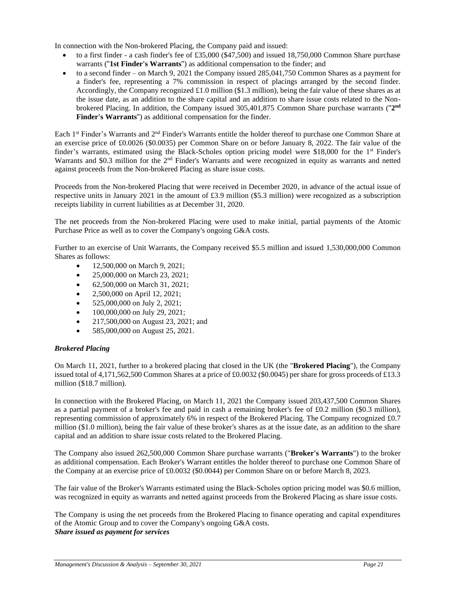In connection with the Non-brokered Placing, the Company paid and issued:

- to a first finder a cash finder's fee of £35,000 (\$47,500) and issued 18,750,000 Common Share purchase warrants ("**1st Finder's Warrants**") as additional compensation to the finder; and
- to a second finder on March 9, 2021 the Company issued 285,041,750 Common Shares as a payment for a finder's fee, representing a 7% commission in respect of placings arranged by the second finder. Accordingly, the Company recognized £1.0 million (\$1.3 million), being the fair value of these shares as at the issue date, as an addition to the share capital and an addition to share issue costs related to the Nonbrokered Placing. In addition, the Company issued 305,401,875 Common Share purchase warrants ("2<sup>nd</sup> **Finder's Warrants**") as additional compensation for the finder.

Each 1st Finder's Warrants and 2nd Finder's Warrants entitle the holder thereof to purchase one Common Share at an exercise price of £0.0026 (\$0.0035) per Common Share on or before January 8, 2022. The fair value of the finder's warrants, estimated using the Black-Scholes option pricing model were \$18,000 for the 1st Finder's Warrants and \$0.3 million for the 2<sup>nd</sup> Finder's Warrants and were recognized in equity as warrants and netted against proceeds from the Non-brokered Placing as share issue costs.

Proceeds from the Non-brokered Placing that were received in December 2020, in advance of the actual issue of respective units in January 2021 in the amount of £3.9 million (\$5.3 million) were recognized as a subscription receipts liability in current liabilities as at December 31, 2020.

The net proceeds from the Non-brokered Placing were used to make initial, partial payments of the Atomic Purchase Price as well as to cover the Company's ongoing G&A costs.

Further to an exercise of Unit Warrants, the Company received \$5.5 million and issued 1,530,000,000 Common Shares as follows:

- 12,500,000 on March 9, 2021;
- 25,000,000 on March 23, 2021:
- 62,500,000 on March 31, 2021;
- 2,500,000 on April 12, 2021;
- 525,000,000 on July 2, 2021;
- 100,000,000 on July 29, 2021;
- 217,500,000 on August 23, 2021; and
- 585,000,000 on August 25, 2021.

# *Brokered Placing*

On March 11, 2021, further to a brokered placing that closed in the UK (the "**Brokered Placing**"), the Company issued total of 4,171,562,500 Common Shares at a price of £0.0032 (\$0.0045) per share for gross proceeds of £13.3 million (\$18.7 million).

In connection with the Brokered Placing, on March 11, 2021 the Company issued 203,437,500 Common Shares as a partial payment of a broker's fee and paid in cash a remaining broker's fee of £0.2 million (\$0.3 million), representing commission of approximately 6% in respect of the Brokered Placing. The Company recognized £0.7 million (\$1.0 million), being the fair value of these broker's shares as at the issue date, as an addition to the share capital and an addition to share issue costs related to the Brokered Placing.

The Company also issued 262,500,000 Common Share purchase warrants ("**Broker's Warrants**") to the broker as additional compensation. Each Broker's Warrant entitles the holder thereof to purchase one Common Share of the Company at an exercise price of £0.0032 (\$0.0044) per Common Share on or before March 8, 2023.

The fair value of the Broker's Warrants estimated using the Black-Scholes option pricing model was \$0.6 million, was recognized in equity as warrants and netted against proceeds from the Brokered Placing as share issue costs.

The Company is using the net proceeds from the Brokered Placing to finance operating and capital expenditures of the Atomic Group and to cover the Company's ongoing G&A costs. *Share issued as payment for services*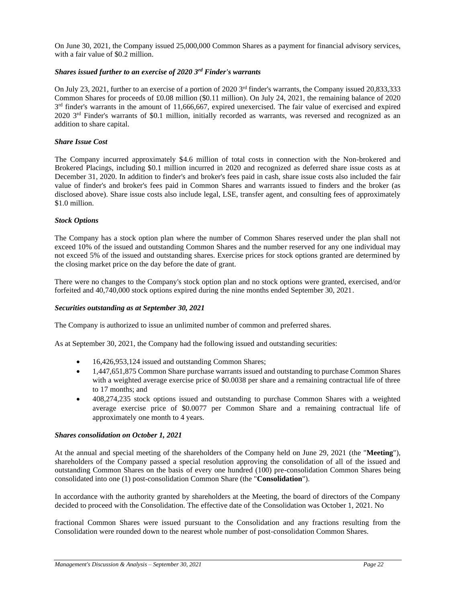On June 30, 2021, the Company issued 25,000,000 Common Shares as a payment for financial advisory services, with a fair value of \$0.2 million.

## *Shares issued further to an exercise of 2020 3rd Finder's warrants*

On July 23, 2021, further to an exercise of a portion of 2020 3<sup>rd</sup> finder's warrants, the Company issued 20,833,333 Common Shares for proceeds of £0.08 million (\$0.11 million). On July 24, 2021, the remaining balance of 2020  $3<sup>rd</sup>$  finder's warrants in the amount of 11,666,667, expired unexercised. The fair value of exercised and expired 2020 3<sup>rd</sup> Finder's warrants of \$0.1 million, initially recorded as warrants, was reversed and recognized as an addition to share capital.

## *Share Issue Cost*

The Company incurred approximately \$4.6 million of total costs in connection with the Non-brokered and Brokered Placings, including \$0.1 million incurred in 2020 and recognized as deferred share issue costs as at December 31, 2020. In addition to finder's and broker's fees paid in cash, share issue costs also included the fair value of finder's and broker's fees paid in Common Shares and warrants issued to finders and the broker (as disclosed above). Share issue costs also include legal, LSE, transfer agent, and consulting fees of approximately \$1.0 million.

## *Stock Options*

The Company has a stock option plan where the number of Common Shares reserved under the plan shall not exceed 10% of the issued and outstanding Common Shares and the number reserved for any one individual may not exceed 5% of the issued and outstanding shares. Exercise prices for stock options granted are determined by the closing market price on the day before the date of grant.

There were no changes to the Company's stock option plan and no stock options were granted, exercised, and/or forfeited and 40,740,000 stock options expired during the nine months ended September 30, 2021.

#### *Securities outstanding as at September 30, 2021*

The Company is authorized to issue an unlimited number of common and preferred shares.

As at September 30, 2021, the Company had the following issued and outstanding securities:

- 16,426,953,124 issued and outstanding Common Shares;
- 1,447,651,875 Common Share purchase warrants issued and outstanding to purchase Common Shares with a weighted average exercise price of \$0.0038 per share and a remaining contractual life of three to 17 months; and
- 408,274,235 stock options issued and outstanding to purchase Common Shares with a weighted average exercise price of \$0.0077 per Common Share and a remaining contractual life of approximately one month to 4 years.

#### *Shares consolidation on October 1, 2021*

At the annual and special meeting of the shareholders of the Company held on June 29, 2021 (the "**Meeting**"), shareholders of the Company passed a special resolution approving the consolidation of all of the issued and outstanding Common Shares on the basis of every one hundred (100) pre-consolidation Common Shares being consolidated into one (1) post-consolidation Common Share (the "**Consolidation**").

In accordance with the authority granted by shareholders at the Meeting, the board of directors of the Company decided to proceed with the Consolidation. The effective date of the Consolidation was October 1, 2021. No

fractional Common Shares were issued pursuant to the Consolidation and any fractions resulting from the Consolidation were rounded down to the nearest whole number of post-consolidation Common Shares.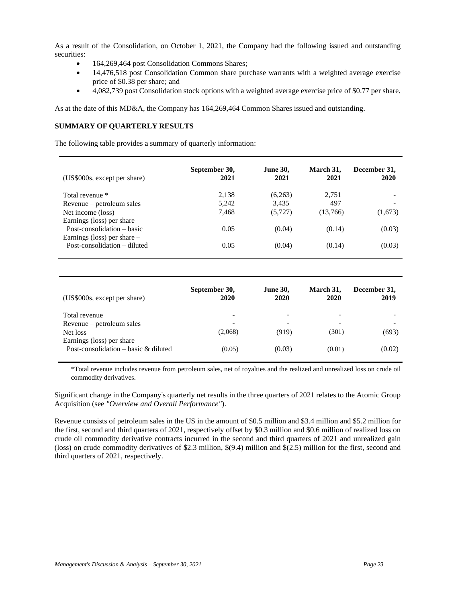As a result of the Consolidation, on October 1, 2021, the Company had the following issued and outstanding securities:

- 164,269,464 post Consolidation Commons Shares;
- 14,476,518 post Consolidation Common share purchase warrants with a weighted average exercise price of \$0.38 per share; and
- 4,082,739 post Consolidation stock options with a weighted average exercise price of \$0.77 per share.

As at the date of this MD&A, the Company has 164,269,464 Common Shares issued and outstanding.

# **SUMMARY OF QUARTERLY RESULTS**

The following table provides a summary of quarterly information:

| (US\$000s, except per share)  | September 30,<br>2021 | <b>June 30,</b><br>2021 | March 31,<br>2021 | December 31,<br>2020 |
|-------------------------------|-----------------------|-------------------------|-------------------|----------------------|
| Total revenue *               | 2,138                 | (6,263)                 | 2.751             |                      |
| Revenue - petroleum sales     | 5,242                 | 3.435                   | 497               |                      |
| Net income (loss)             | 7.468                 | (5, 727)                | (13,766)          | (1,673)              |
| Earnings (loss) per share $-$ |                       |                         |                   |                      |
| Post-consolidation – basic    | 0.05                  | (0.04)                  | (0.14)            | (0.03)               |
| Earnings (loss) per share $-$ |                       |                         |                   |                      |
| Post-consolidation – diluted  | 0.05                  | (0.04)                  | (0.14)            | (0.03)               |
|                               |                       |                         |                   |                      |

| (US\$000s, except per share)                                                            | September 30,<br>2020 | <b>June 30,</b><br>2020 | March 31,<br>2020 | December 31,<br>2019 |
|-----------------------------------------------------------------------------------------|-----------------------|-------------------------|-------------------|----------------------|
| Total revenue<br>Revenue – petroleum sales<br>Net loss<br>Earnings (loss) per share $-$ | (2,068)               | (919)                   | -<br>(301)        | (693)                |
| Post-consolidation – basic $&$ diluted                                                  | (0.05)                | (0.03)                  | (0.01)            | (0.02)               |

\*Total revenue includes revenue from petroleum sales, net of royalties and the realized and unrealized loss on crude oil commodity derivatives.

Significant change in the Company's quarterly net results in the three quarters of 2021 relates to the Atomic Group Acquisition (see *"Overview and Overall Performance"*).

Revenue consists of petroleum sales in the US in the amount of \$0.5 million and \$3.4 million and \$5.2 million for the first, second and third quarters of 2021, respectively offset by \$0.3 million and \$0.6 million of realized loss on crude oil commodity derivative contracts incurred in the second and third quarters of 2021 and unrealized gain (loss) on crude commodity derivatives of \$2.3 million, \$(9.4) million and \$(2.5) million for the first, second and third quarters of 2021, respectively.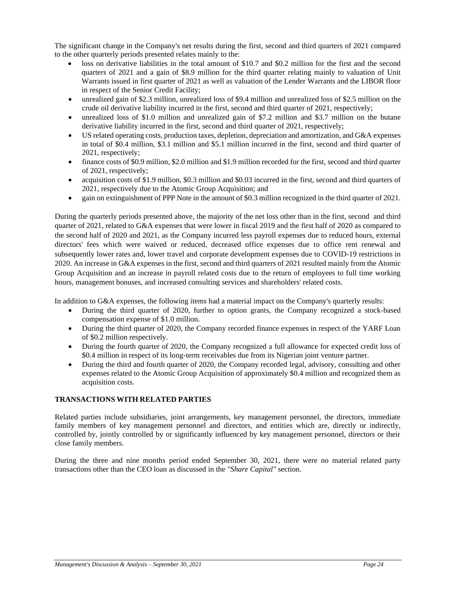The significant change in the Company's net results during the first, second and third quarters of 2021 compared to the other quarterly periods presented relates mainly to the:

- loss on derivative liabilities in the total amount of \$10.7 and \$0.2 million for the first and the second quarters of 2021 and a gain of \$8.9 million for the third quarter relating mainly to valuation of Unit Warrants issued in first quarter of 2021 as well as valuation of the Lender Warrants and the LIBOR floor in respect of the Senior Credit Facility;
- unrealized gain of \$2.3 million, unrealized loss of \$9.4 million and unrealized loss of \$2.5 million on the crude oil derivative liability incurred in the first, second and third quarter of 2021, respectively;
- unrealized loss of \$1.0 million and unrealized gain of \$7.2 million and \$3.7 million on the butane derivative liability incurred in the first, second and third quarter of 2021, respectively;
- US related operating costs, production taxes, depletion, depreciation and amortization, and G&A expenses in total of \$0.4 million, \$3.1 million and \$5.1 million incurred in the first, second and third quarter of 2021, respectively;
- finance costs of \$0.9 million, \$2.0 million and \$1.9 million recorded for the first, second and third quarter of 2021, respectively;
- acquisition costs of \$1.9 million, \$0.3 million and \$0.03 incurred in the first, second and third quarters of 2021, respectively due to the Atomic Group Acquisition; and
- gain on extinguishment of PPP Note in the amount of \$0.3 million recognized in the third quarter of 2021.

During the quarterly periods presented above, the majority of the net loss other than in the first, second and third quarter of 2021, related to G&A expenses that were lower in fiscal 2019 and the first half of 2020 as compared to the second half of 2020 and 2021, as the Company incurred less payroll expenses due to reduced hours, external directors' fees which were waived or reduced, decreased office expenses due to office rent renewal and subsequently lower rates and, lower travel and corporate development expenses due to COVID-19 restrictions in 2020. An increase in G&A expenses in the first, second and third quarters of 2021 resulted mainly from the Atomic Group Acquisition and an increase in payroll related costs due to the return of employees to full time working hours, management bonuses, and increased consulting services and shareholders' related costs.

In addition to G&A expenses, the following items had a material impact on the Company's quarterly results:

- During the third quarter of 2020, further to option grants, the Company recognized a stock-based compensation expense of \$1.0 million.
- During the third quarter of 2020, the Company recorded finance expenses in respect of the YARF Loan of \$0.2 million respectively.
- During the fourth quarter of 2020, the Company recognized a full allowance for expected credit loss of \$0.4 million in respect of its long-term receivables due from its Nigerian joint venture partner.
- During the third and fourth quarter of 2020, the Company recorded legal, advisory, consulting and other expenses related to the Atomic Group Acquisition of approximately \$0.4 million and recognized them as acquisition costs.

# **TRANSACTIONS WITH RELATED PARTIES**

Related parties include subsidiaries, joint arrangements, key management personnel, the directors, immediate family members of key management personnel and directors, and entities which are, directly or indirectly, controlled by, jointly controlled by or significantly influenced by key management personnel, directors or their close family members.

During the three and nine months period ended September 30, 2021, there were no material related party transactions other than the CEO loan as discussed in the *"Share Capital"* section.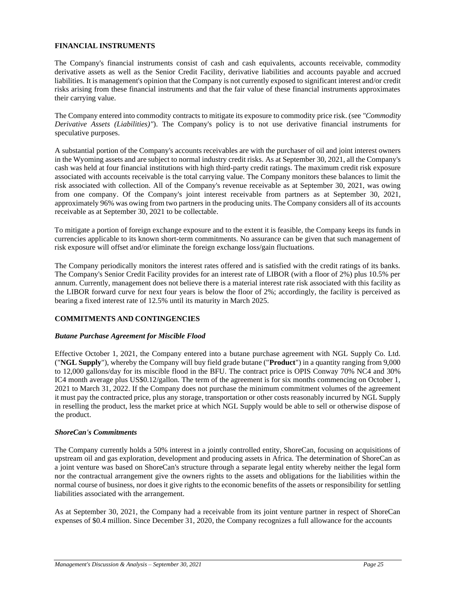## **FINANCIAL INSTRUMENTS**

The Company's financial instruments consist of cash and cash equivalents, accounts receivable, commodity derivative assets as well as the Senior Credit Facility, derivative liabilities and accounts payable and accrued liabilities. It is management's opinion that the Company is not currently exposed to significant interest and/or credit risks arising from these financial instruments and that the fair value of these financial instruments approximates their carrying value.

The Company entered into commodity contracts to mitigate its exposure to commodity price risk. (see *"Commodity Derivative Assets (Liabilities)"*). The Company's policy is to not use derivative financial instruments for speculative purposes.

A substantial portion of the Company's accounts receivables are with the purchaser of oil and joint interest owners in the Wyoming assets and are subject to normal industry credit risks. As at September 30, 2021, all the Company's cash was held at four financial institutions with high third-party credit ratings. The maximum credit risk exposure associated with accounts receivable is the total carrying value. The Company monitors these balances to limit the risk associated with collection. All of the Company's revenue receivable as at September 30, 2021, was owing from one company. Of the Company's joint interest receivable from partners as at September 30, 2021, approximately 96% was owing from two partners in the producing units. The Company considers all of its accounts receivable as at September 30, 2021 to be collectable.

To mitigate a portion of foreign exchange exposure and to the extent it is feasible, the Company keeps its funds in currencies applicable to its known short-term commitments. No assurance can be given that such management of risk exposure will offset and/or eliminate the foreign exchange loss/gain fluctuations.

The Company periodically monitors the interest rates offered and is satisfied with the credit ratings of its banks. The Company's Senior Credit Facility provides for an interest rate of LIBOR (with a floor of 2%) plus 10.5% per annum. Currently, management does not believe there is a material interest rate risk associated with this facility as the LIBOR forward curve for next four years is below the floor of 2%; accordingly, the facility is perceived as bearing a fixed interest rate of 12.5% until its maturity in March 2025.

# **COMMITMENTS AND CONTINGENCIES**

#### *Butane Purchase Agreement for Miscible Flood*

Effective October 1, 2021, the Company entered into a butane purchase agreement with NGL Supply Co. Ltd. ("**NGL Supply**"), whereby the Company will buy field grade butane ("**Product**") in a quantity ranging from 9,000 to 12,000 gallons/day for its miscible flood in the BFU. The contract price is OPIS Conway 70% NC4 and 30% IC4 month average plus US\$0.12/gallon. The term of the agreement is for six months commencing on October 1, 2021 to March 31, 2022. If the Company does not purchase the minimum commitment volumes of the agreement it must pay the contracted price, plus any storage, transportation or other costs reasonably incurred by NGL Supply in reselling the product, less the market price at which NGL Supply would be able to sell or otherwise dispose of the product.

#### *ShoreCan's Commitments*

The Company currently holds a 50% interest in a jointly controlled entity, ShoreCan, focusing on acquisitions of upstream oil and gas exploration, development and producing assets in Africa. The determination of ShoreCan as a joint venture was based on ShoreCan's structure through a separate legal entity whereby neither the legal form nor the contractual arrangement give the owners rights to the assets and obligations for the liabilities within the normal course of business, nor does it give rights to the economic benefits of the assets or responsibility for settling liabilities associated with the arrangement.

As at September 30, 2021, the Company had a receivable from its joint venture partner in respect of ShoreCan expenses of \$0.4 million. Since December 31, 2020, the Company recognizes a full allowance for the accounts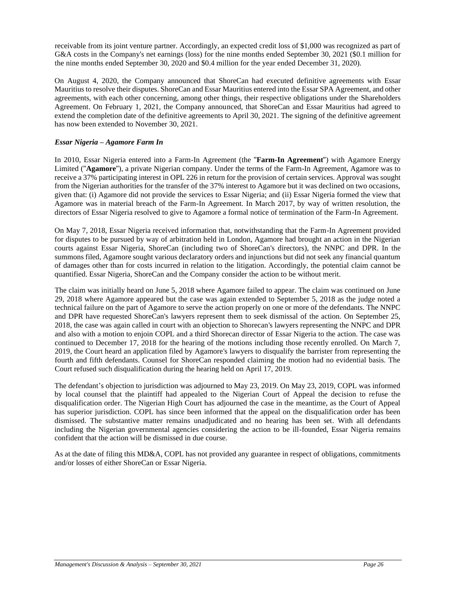receivable from its joint venture partner. Accordingly, an expected credit loss of \$1,000 was recognized as part of G&A costs in the Company's net earnings (loss) for the nine months ended September 30, 2021 (\$0.1 million for the nine months ended September 30, 2020 and \$0.4 million for the year ended December 31, 2020).

On August 4, 2020, the Company announced that ShoreCan had executed definitive agreements with Essar Mauritius to resolve their disputes. ShoreCan and Essar Mauritius entered into the Essar SPA Agreement, and other agreements, with each other concerning, among other things, their respective obligations under the Shareholders Agreement. On February 1, 2021, the Company announced, that ShoreCan and Essar Mauritius had agreed to extend the completion date of the definitive agreements to April 30, 2021. The signing of the definitive agreement has now been extended to November 30, 2021.

# *Essar Nigeria – Agamore Farm In*

In 2010, Essar Nigeria entered into a Farm-In Agreement (the "**Farm-In Agreement**") with Agamore Energy Limited ("**Agamore**"), a private Nigerian company. Under the terms of the Farm-In Agreement, Agamore was to receive a 37% participating interest in OPL 226 in return for the provision of certain services. Approval was sought from the Nigerian authorities for the transfer of the 37% interest to Agamore but it was declined on two occasions, given that: (i) Agamore did not provide the services to Essar Nigeria; and (ii) Essar Nigeria formed the view that Agamore was in material breach of the Farm-In Agreement. In March 2017, by way of written resolution, the directors of Essar Nigeria resolved to give to Agamore a formal notice of termination of the Farm-In Agreement.

On May 7, 2018, Essar Nigeria received information that, notwithstanding that the Farm-In Agreement provided for disputes to be pursued by way of arbitration held in London, Agamore had brought an action in the Nigerian courts against Essar Nigeria, ShoreCan (including two of ShoreCan's directors), the NNPC and DPR. In the summons filed, Agamore sought various declaratory orders and injunctions but did not seek any financial quantum of damages other than for costs incurred in relation to the litigation. Accordingly, the potential claim cannot be quantified. Essar Nigeria, ShoreCan and the Company consider the action to be without merit.

The claim was initially heard on June 5, 2018 where Agamore failed to appear. The claim was continued on June 29, 2018 where Agamore appeared but the case was again extended to September 5, 2018 as the judge noted a technical failure on the part of Agamore to serve the action properly on one or more of the defendants. The NNPC and DPR have requested ShoreCan's lawyers represent them to seek dismissal of the action. On September 25, 2018, the case was again called in court with an objection to Shorecan's lawyers representing the NNPC and DPR and also with a motion to enjoin COPL and a third Shorecan director of Essar Nigeria to the action. The case was continued to December 17, 2018 for the hearing of the motions including those recently enrolled. On March 7, 2019, the Court heard an application filed by Agamore's lawyers to disqualify the barrister from representing the fourth and fifth defendants. Counsel for ShoreCan responded claiming the motion had no evidential basis. The Court refused such disqualification during the hearing held on April 17, 2019.

The defendant's objection to jurisdiction was adjourned to May 23, 2019. On May 23, 2019, COPL was informed by local counsel that the plaintiff had appealed to the Nigerian Court of Appeal the decision to refuse the disqualification order. The Nigerian High Court has adjourned the case in the meantime, as the Court of Appeal has superior jurisdiction. COPL has since been informed that the appeal on the disqualification order has been dismissed. The substantive matter remains unadjudicated and no hearing has been set. With all defendants including the Nigerian governmental agencies considering the action to be ill-founded, Essar Nigeria remains confident that the action will be dismissed in due course.

As at the date of filing this MD&A, COPL has not provided any guarantee in respect of obligations, commitments and/or losses of either ShoreCan or Essar Nigeria.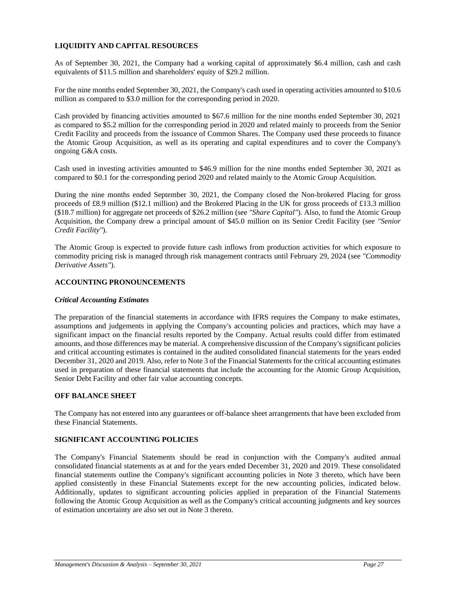# **LIQUIDITY AND CAPITAL RESOURCES**

As of September 30, 2021, the Company had a working capital of approximately \$6.4 million, cash and cash equivalents of \$11.5 million and shareholders' equity of \$29.2 million.

For the nine months ended September 30, 2021, the Company's cash used in operating activities amounted to \$10.6 million as compared to \$3.0 million for the corresponding period in 2020.

Cash provided by financing activities amounted to \$67.6 million for the nine months ended September 30, 2021 as compared to \$5.2 million for the corresponding period in 2020 and related mainly to proceeds from the Senior Credit Facility and proceeds from the issuance of Common Shares. The Company used these proceeds to finance the Atomic Group Acquisition, as well as its operating and capital expenditures and to cover the Company's ongoing G&A costs.

Cash used in investing activities amounted to \$46.9 million for the nine months ended September 30, 2021 as compared to \$0.1 for the corresponding period 2020 and related mainly to the Atomic Group Acquisition.

During the nine months ended September 30, 2021, the Company closed the Non-brokered Placing for gross proceeds of £8.9 million (\$12.1 million) and the Brokered Placing in the UK for gross proceeds of £13.3 million (\$18.7 million) for aggregate net proceeds of \$26.2 million (see *"Share Capital"*). Also, to fund the Atomic Group Acquisition, the Company drew a principal amount of \$45.0 million on its Senior Credit Facility (see *"Senior Credit Facility"*).

The Atomic Group is expected to provide future cash inflows from production activities for which exposure to commodity pricing risk is managed through risk management contracts until February 29, 2024 (see *"Commodity Derivative Assets"*).

# **ACCOUNTING PRONOUNCEMENTS**

#### *Critical Accounting Estimates*

The preparation of the financial statements in accordance with IFRS requires the Company to make estimates, assumptions and judgements in applying the Company's accounting policies and practices, which may have a significant impact on the financial results reported by the Company. Actual results could differ from estimated amounts, and those differences may be material. A comprehensive discussion of the Company's significant policies and critical accounting estimates is contained in the audited consolidated financial statements for the years ended December 31, 2020 and 2019. Also, refer to Note 3 of the Financial Statements for the critical accounting estimates used in preparation of these financial statements that include the accounting for the Atomic Group Acquisition, Senior Debt Facility and other fair value accounting concepts.

#### **OFF BALANCE SHEET**

The Company has not entered into any guarantees or off-balance sheet arrangements that have been excluded from these Financial Statements.

#### **SIGNIFICANT ACCOUNTING POLICIES**

The Company's Financial Statements should be read in conjunction with the Company's audited annual consolidated financial statements as at and for the years ended December 31, 2020 and 2019. These consolidated financial statements outline the Company's significant accounting policies in Note 3 thereto, which have been applied consistently in these Financial Statements except for the new accounting policies, indicated below. Additionally, updates to significant accounting policies applied in preparation of the Financial Statements following the Atomic Group Acquisition as well as the Company's critical accounting judgments and key sources of estimation uncertainty are also set out in Note 3 thereto.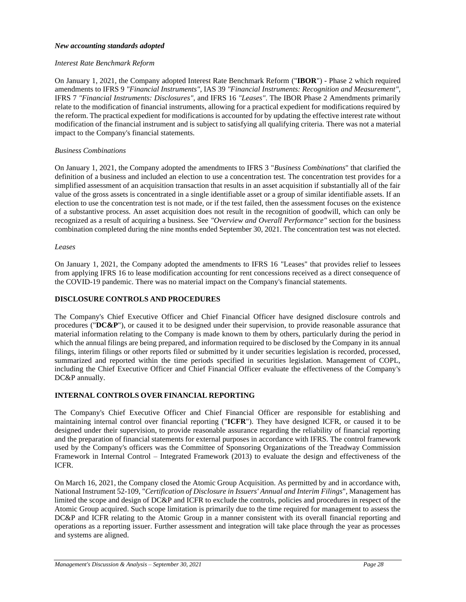## *New accounting standards adopted*

## *Interest Rate Benchmark Reform*

On January 1, 2021, the Company adopted Interest Rate Benchmark Reform ("**IBOR**") - Phase 2 which required amendments to IFRS 9 *"Financial Instruments"*, IAS 39 *"Financial Instruments: Recognition and Measurement"*, IFRS 7 *"Financial Instruments: Disclosures"*, and IFRS 16 *"Leases"*. The IBOR Phase 2 Amendments primarily relate to the modification of financial instruments, allowing for a practical expedient for modifications required by the reform. The practical expedient for modifications is accounted for by updating the effective interest rate without modification of the financial instrument and is subject to satisfying all qualifying criteria. There was not a material impact to the Company's financial statements.

## *Business Combinations*

On January 1, 2021, the Company adopted the amendments to IFRS 3 "*Business Combinations*" that clarified the definition of a business and included an election to use a concentration test. The concentration test provides for a simplified assessment of an acquisition transaction that results in an asset acquisition if substantially all of the fair value of the gross assets is concentrated in a single identifiable asset or a group of similar identifiable assets. If an election to use the concentration test is not made, or if the test failed, then the assessment focuses on the existence of a substantive process. An asset acquisition does not result in the recognition of goodwill, which can only be recognized as a result of acquiring a business. See *"Overview and Overall Performance"* section for the business combination completed during the nine months ended September 30, 2021. The concentration test was not elected.

#### *Leases*

On January 1, 2021, the Company adopted the amendments to IFRS 16 "Leases" that provides relief to lessees from applying IFRS 16 to lease modification accounting for rent concessions received as a direct consequence of the COVID-19 pandemic. There was no material impact on the Company's financial statements.

# **DISCLOSURE CONTROLS AND PROCEDURES**

The Company's Chief Executive Officer and Chief Financial Officer have designed disclosure controls and procedures ("**DC&P**"), or caused it to be designed under their supervision, to provide reasonable assurance that material information relating to the Company is made known to them by others, particularly during the period in which the annual filings are being prepared, and information required to be disclosed by the Company in its annual filings, interim filings or other reports filed or submitted by it under securities legislation is recorded, processed, summarized and reported within the time periods specified in securities legislation. Management of COPL, including the Chief Executive Officer and Chief Financial Officer evaluate the effectiveness of the Company's DC&P annually.

# **INTERNAL CONTROLS OVER FINANCIAL REPORTING**

The Company's Chief Executive Officer and Chief Financial Officer are responsible for establishing and maintaining internal control over financial reporting ("**ICFR**"). They have designed ICFR, or caused it to be designed under their supervision, to provide reasonable assurance regarding the reliability of financial reporting and the preparation of financial statements for external purposes in accordance with IFRS. The control framework used by the Company's officers was the Committee of Sponsoring Organizations of the Treadway Commission Framework in Internal Control – Integrated Framework (2013) to evaluate the design and effectiveness of the ICFR.

On March 16, 2021, the Company closed the Atomic Group Acquisition. As permitted by and in accordance with, National Instrument 52-109, "*Certification of Disclosure in Issuers' Annual and Interim Filings*", Management has limited the scope and design of DC&P and ICFR to exclude the controls, policies and procedures in respect of the Atomic Group acquired. Such scope limitation is primarily due to the time required for management to assess the DC&P and ICFR relating to the Atomic Group in a manner consistent with its overall financial reporting and operations as a reporting issuer. Further assessment and integration will take place through the year as processes and systems are aligned.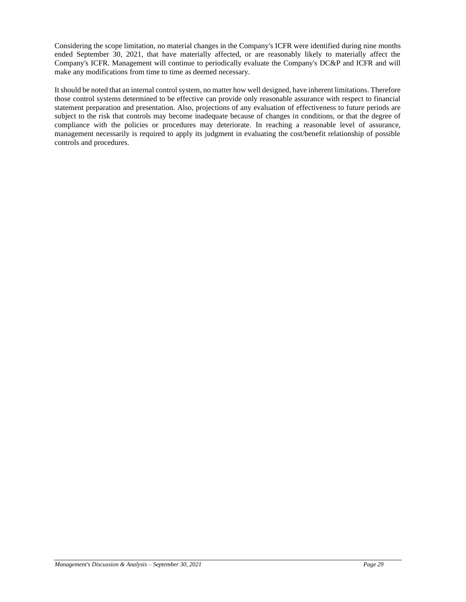Considering the scope limitation, no material changes in the Company's ICFR were identified during nine months ended September 30, 2021, that have materially affected, or are reasonably likely to materially affect the Company's ICFR. Management will continue to periodically evaluate the Company's DC&P and ICFR and will make any modifications from time to time as deemed necessary.

It should be noted that an internal control system, no matter how well designed, have inherent limitations. Therefore those control systems determined to be effective can provide only reasonable assurance with respect to financial statement preparation and presentation. Also, projections of any evaluation of effectiveness to future periods are subject to the risk that controls may become inadequate because of changes in conditions, or that the degree of compliance with the policies or procedures may deteriorate. In reaching a reasonable level of assurance, management necessarily is required to apply its judgment in evaluating the cost/benefit relationship of possible controls and procedures.